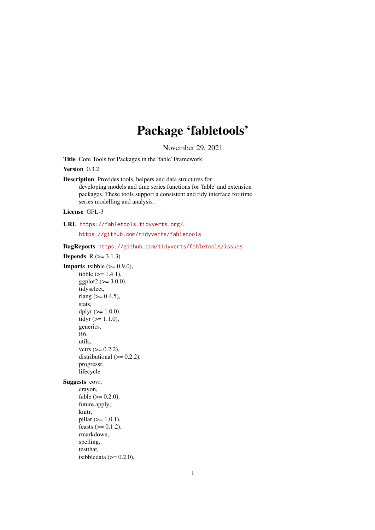# Package 'fabletools'

November 29, 2021

<span id="page-0-0"></span>Title Core Tools for Packages in the 'fable' Framework

Version 0.3.2

Description Provides tools, helpers and data structures for developing models and time series functions for 'fable' and extension packages. These tools support a consistent and tidy interface for time series modelling and analysis.

License GPL-3

URL <https://fabletools.tidyverts.org/>,

<https://github.com/tidyverts/fabletools>

BugReports <https://github.com/tidyverts/fabletools/issues>

**Depends**  $R$  ( $>= 3.1.3$ ) **Imports** tsibble  $(>= 0.9.0)$ , tibble  $(>= 1.4.1)$ ,  $ggplot2 (> = 3.0.0),$ tidyselect, rlang ( $> = 0.4.5$ ), stats, dplyr  $(>= 1.0.0)$ , tidyr  $(>= 1.1.0)$ , generics, R6, utils, vctrs  $(>= 0.2.2)$ , distributional  $(>= 0.2.2)$ , progressr, lifecycle Suggests covr, crayon, fable  $(>= 0.2.0)$ , future.apply, knitr,  $pillar$  ( $>= 1.0.1$ ), feasts  $(>= 0.1.2)$ , rmarkdown, spelling, testthat, tsibbledata  $(>= 0.2.0)$ ,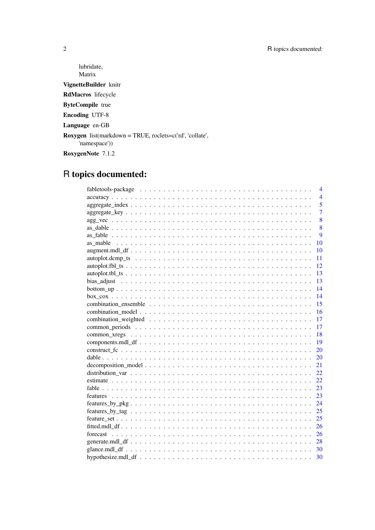lubridate, Matrix VignetteBuilder knitr RdMacros lifecycle ByteCompile true Encoding UTF-8 Language en-GB Roxygen list(markdown = TRUE, roclets=c('rd', 'collate', 'namespace')) RoxygenNote 7.1.2

# R topics documented:

| 4              |  |
|----------------|--|
| $\overline{4}$ |  |
| 5              |  |
| $\overline{7}$ |  |
| 8              |  |
| 8              |  |
| 9              |  |
| 10             |  |
| 10             |  |
| 11             |  |
| <sup>12</sup>  |  |
| 13             |  |
| 13             |  |
| 14             |  |
| 14             |  |
| 15             |  |
| 16             |  |
| -17            |  |
| 17             |  |
| <b>18</b>      |  |
| 19             |  |
| 20             |  |
| 20             |  |
| 21             |  |
| 22             |  |
| 22             |  |
| -23            |  |
| -23            |  |
|                |  |
|                |  |
|                |  |
|                |  |
|                |  |
|                |  |
|                |  |
| 30             |  |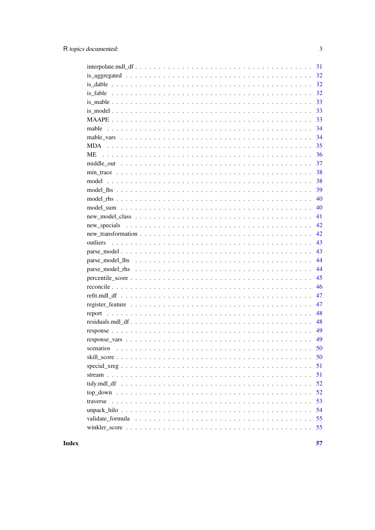|             | 31 |
|-------------|----|
|             | 32 |
|             | 32 |
|             | 32 |
| $is\_mable$ | 33 |
|             | 33 |
|             | 33 |
|             | 34 |
|             | 34 |
|             | 35 |
|             | 36 |
|             | 37 |
|             | 38 |
|             | 38 |
|             | 39 |
|             | 40 |
|             | 40 |
|             | 41 |
|             | 42 |
|             | 42 |
|             | 43 |
|             | 43 |
|             | 44 |
|             | 44 |
|             | 45 |
|             | 46 |
|             | 47 |
|             |    |
|             | 47 |
|             | 48 |
|             | 48 |
|             | 49 |
|             | 49 |
| scenarios   | 50 |
|             | 50 |
|             | 51 |
|             | 51 |
|             | 52 |
|             | 52 |
|             | 53 |
|             | 54 |
|             | 55 |
|             | 55 |
|             |    |

**Index**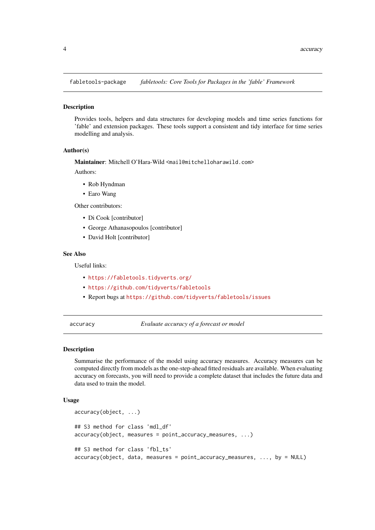<span id="page-3-0"></span>fabletools-package *fabletools: Core Tools for Packages in the 'fable' Framework*

## Description

Provides tools, helpers and data structures for developing models and time series functions for 'fable' and extension packages. These tools support a consistent and tidy interface for time series modelling and analysis.

#### Author(s)

Maintainer: Mitchell O'Hara-Wild <mail@mitchelloharawild.com>

Authors:

- Rob Hyndman
- Earo Wang

Other contributors:

- Di Cook [contributor]
- George Athanasopoulos [contributor]
- David Holt [contributor]

## See Also

Useful links:

- <https://fabletools.tidyverts.org/>
- <https://github.com/tidyverts/fabletools>
- Report bugs at <https://github.com/tidyverts/fabletools/issues>

accuracy *Evaluate accuracy of a forecast or model*

#### <span id="page-3-1"></span>Description

Summarise the performance of the model using accuracy measures. Accuracy measures can be computed directly from models as the one-step-ahead fitted residuals are available. When evaluating accuracy on forecasts, you will need to provide a complete dataset that includes the future data and data used to train the model.

## Usage

```
accuracy(object, ...)
## S3 method for class 'mdl_df'
accuracy(object, measures = point_accuracy_measures, ...)
## S3 method for class 'fbl_ts'
accuracy(object, data, measures = point_accuracy_measures, ..., by = NULL)
```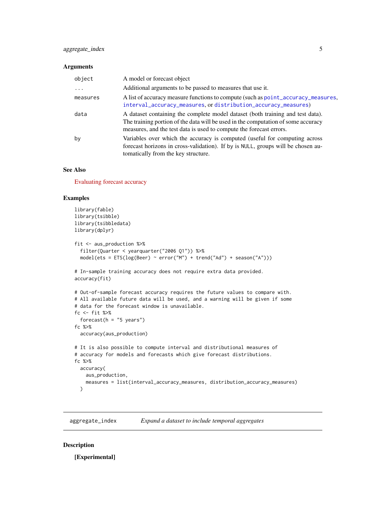#### <span id="page-4-0"></span>Arguments

| object   | A model or forecast object                                                                                                                                                                                                                 |
|----------|--------------------------------------------------------------------------------------------------------------------------------------------------------------------------------------------------------------------------------------------|
| .        | Additional arguments to be passed to measures that use it.                                                                                                                                                                                 |
| measures | A list of accuracy measure functions to compute (such as point_accuracy_measures,<br>interval_accuracy_measures, or distribution_accuracy_measures)                                                                                        |
| data     | A dataset containing the complete model dataset (both training and test data).<br>The training portion of the data will be used in the computation of some accuracy<br>measures, and the test data is used to compute the forecast errors. |
| by       | Variables over which the accuracy is computed (useful for computing across<br>forecast horizons in cross-validation). If by is NULL, groups will be chosen au-<br>to matically from the key structure.                                     |

#### See Also

[Evaluating forecast accuracy](https://otexts.com/fpp3/accuracy.html)

#### Examples

```
library(fable)
library(tsibble)
library(tsibbledata)
library(dplyr)
fit <- aus_production %>%
  filter(Quarter < yearquarter("2006 Q1")) %>%
  model(test = ETS(log(Beer) \sim error("M") + trend("Ad") + season("A"))# In-sample training accuracy does not require extra data provided.
accuracy(fit)
# Out-of-sample forecast accuracy requires the future values to compare with.
# All available future data will be used, and a warning will be given if some
# data for the forecast window is unavailable.
fc <- fit %>%
  forecast(h = "5 years")fc %>%
  accuracy(aus_production)
# It is also possible to compute interval and distributional measures of
# accuracy for models and forecasts which give forecast distributions.
fc %>%
 accuracy(
    aus_production,
    measures = list(interval_accuracy_measures, distribution_accuracy_measures)
  \lambda
```
aggregate\_index *Expand a dataset to include temporal aggregates*

## Description

[Experimental]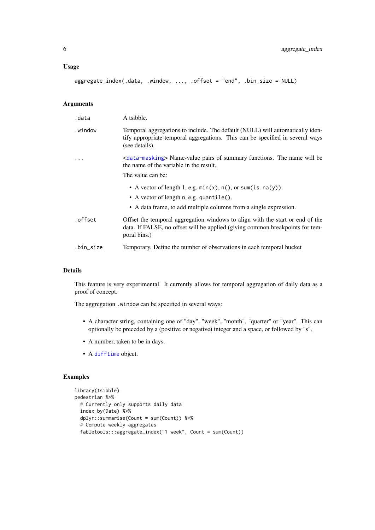#### <span id="page-5-0"></span>Usage

```
aggregate_index(.data, .window, ..., .offset = "end", .bin_size = NULL)
```
#### Arguments

| .data     | A tsibble.                                                                                                                                                                            |
|-----------|---------------------------------------------------------------------------------------------------------------------------------------------------------------------------------------|
| .window   | Temporal aggregations to include. The default (NULL) will automatically iden-<br>tify appropriate temporal aggregations. This can be specified in several ways<br>(see details).      |
| $\ddotsc$ | <data-masking> Name-value pairs of summary functions. The name will be<br/>the name of the variable in the result.<br/>The value can be:</data-masking>                               |
|           | • A vector of length 1, e.g. $min(x)$ , $n()$ , or $sum(is.na(y))$ .<br>• A vector of length n, e.g. quantile().<br>• A data frame, to add multiple columns from a single expression. |
| .offset   | Offset the temporal aggregation windows to align with the start or end of the<br>data. If FALSE, no offset will be applied (giving common breakpoints for tem-<br>poral bins.)        |
| .bin_size | Temporary. Define the number of observations in each temporal bucket                                                                                                                  |

#### Details

This feature is very experimental. It currently allows for temporal aggregation of daily data as a proof of concept.

The aggregation .window can be specified in several ways:

- A character string, containing one of "day", "week", "month", "quarter" or "year". This can optionally be preceded by a (positive or negative) integer and a space, or followed by "s".
- A number, taken to be in days.
- A [difftime](#page-0-0) object.

## Examples

```
library(tsibble)
pedestrian %>%
  # Currently only supports daily data
  index_by(Date) %>%
  dplyr::summarise(Count = sum(Count)) %>%
  # Compute weekly aggregates
  fabletools:::aggregate_index("1 week", Count = sum(Count))
```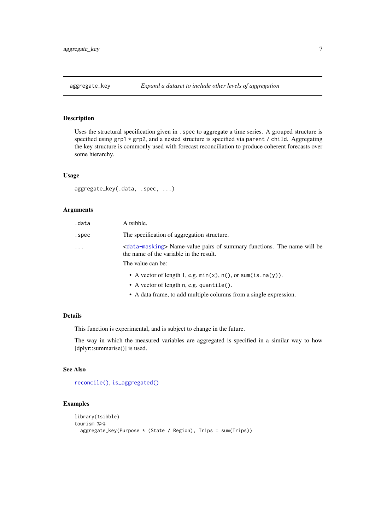<span id="page-6-1"></span><span id="page-6-0"></span>

Uses the structural specification given in .spec to aggregate a time series. A grouped structure is specified using  $grp1 * grp2$ , and a nested structure is specified via parent / child. Aggregating the key structure is commonly used with forecast reconciliation to produce coherent forecasts over some hierarchy.

## Usage

aggregate\_key(.data, .spec, ...)

## Arguments

| .data      | A tsibble.                                                                                                                        |
|------------|-----------------------------------------------------------------------------------------------------------------------------------|
| .spec      | The specification of aggregation structure.                                                                                       |
| $\ddots$ . | <data-masking> Name-value pairs of summary functions. The name will be<br/>the name of the variable in the result.</data-masking> |
|            | The value can be:                                                                                                                 |
|            | • A vector of length 1, e.g. $min(x)$ , $n()$ , or sum(is.na(y)).                                                                 |
|            |                                                                                                                                   |

- A vector of length n, e.g. quantile().
- A data frame, to add multiple columns from a single expression.

## Details

This function is experimental, and is subject to change in the future.

The way in which the measured variables are aggregated is specified in a similar way to how [dplyr::summarise()] is used.

### See Also

[reconcile\(\)](#page-45-1), [is\\_aggregated\(\)](#page-31-1)

#### Examples

```
library(tsibble)
tourism %>%
  aggregate_key(Purpose * (State / Region), Trips = sum(Trips))
```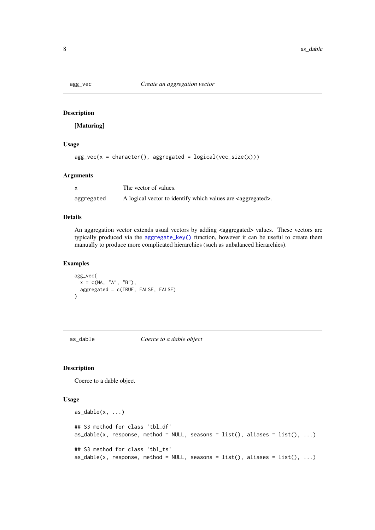<span id="page-7-0"></span>

[Maturing]

## Usage

 $agg\_vec(x = character(), aggregated = logical(vec_size(x)))$ 

## Arguments

|            | The vector of values.                                                    |
|------------|--------------------------------------------------------------------------|
| aggregated | A logical vector to identify which values are <aggregated>.</aggregated> |

## Details

An aggregation vector extends usual vectors by adding <aggregated> values. These vectors are typically produced via the [aggregate\\_key\(\)](#page-6-1) function, however it can be useful to create them manually to produce more complicated hierarchies (such as unbalanced hierarchies).

#### Examples

```
agg_vec(
 x = c(NA, "A", "B"),aggregated = c(TRUE, FALSE, FALSE)
)
```
as\_dable *Coerce to a dable object*

## Description

Coerce to a dable object

## Usage

```
as\_dable(x, \ldots)## S3 method for class 'tbl_df'
as\_dable(x, response, method = NULL, seasons = list(), aliases = list(), ...)## S3 method for class 'tbl_ts'
as_dable(x, response, method = NULL, seasons = list(), aliases = list(), \dots)
```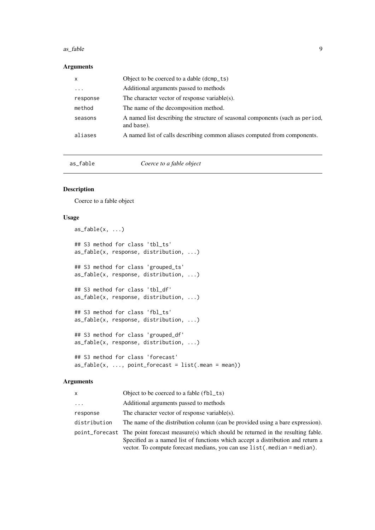#### <span id="page-8-0"></span>as\_fable 9

#### Arguments

| x                       | Object to be coerced to a dable (dcmp_ts)                                                   |
|-------------------------|---------------------------------------------------------------------------------------------|
| $\cdot$ $\cdot$ $\cdot$ | Additional arguments passed to methods                                                      |
| response                | The character vector of response variable(s).                                               |
| method                  | The name of the decomposition method.                                                       |
| seasons                 | A named list describing the structure of seasonal components (such as period,<br>and base). |
| aliases                 | A named list of calls describing common aliases computed from components.                   |

as\_fable *Coerce to a fable object*

## Description

Coerce to a fable object

## Usage

```
as_fable(x, \ldots)## S3 method for class 'tbl_ts'
as_fable(x, response, distribution, ...)
## S3 method for class 'grouped_ts'
as_fable(x, response, distribution, ...)
## S3 method for class 'tbl_df'
as_fable(x, response, distribution, ...)
## S3 method for class 'fbl_ts'
as_fable(x, response, distribution, ...)
## S3 method for class 'grouped_df'
as_fable(x, response, distribution, ...)
## S3 method for class 'forecast'
as_fable(x, ..., point_fored) = list(\text{mean} = mean)
```

| X            | Object to be coerced to a fable (fbl_ts)                                                                                                                                                                                                                      |
|--------------|---------------------------------------------------------------------------------------------------------------------------------------------------------------------------------------------------------------------------------------------------------------|
| $\cdots$     | Additional arguments passed to methods                                                                                                                                                                                                                        |
| response     | The character vector of response variable(s).                                                                                                                                                                                                                 |
| distribution | The name of the distribution column (can be provided using a bare expression).                                                                                                                                                                                |
|              | point forecast The point forecast measure(s) which should be returned in the resulting fable.<br>Specified as a named list of functions which accept a distribution and return a<br>vector. To compute forecast medians, you can use list ( median = median). |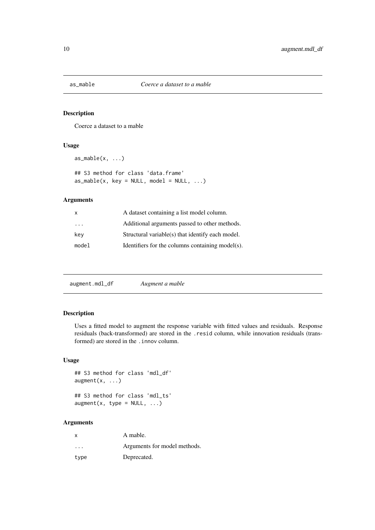<span id="page-9-0"></span>

Coerce a dataset to a mable

## Usage

```
as\_mable(x, \ldots)## S3 method for class 'data.frame'
as\_mable(x, key = NULL, model = NULL, ...)
```
## Arguments

| X                       | A dataset containing a list model column.        |
|-------------------------|--------------------------------------------------|
| $\cdot$ $\cdot$ $\cdot$ | Additional arguments passed to other methods.    |
| key                     | Structural variable(s) that identify each model. |
| model                   | Identifiers for the columns containing model(s). |

augment.mdl\_df *Augment a mable*

## Description

Uses a fitted model to augment the response variable with fitted values and residuals. Response residuals (back-transformed) are stored in the .resid column, while innovation residuals (transformed) are stored in the .innov column.

#### Usage

```
## S3 method for class 'mdl_df'
augment(x, ...)
```
## S3 method for class 'mdl\_ts'  $augment(x, type = NULL, ...)$ 

| X        | A mable.                     |
|----------|------------------------------|
| $\cdots$ | Arguments for model methods. |
| type     | Deprecated.                  |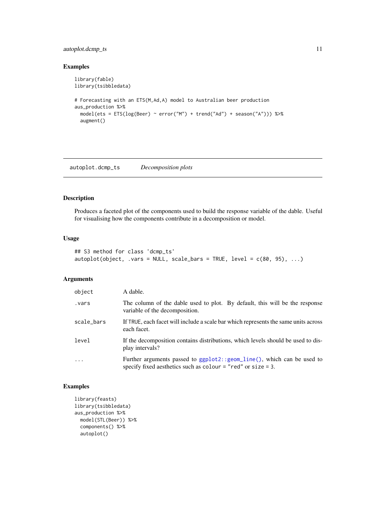#### <span id="page-10-0"></span>autoplot.dcmp\_ts 11

## Examples

```
library(fable)
library(tsibbledata)
# Forecasting with an ETS(M,Ad,A) model to Australian beer production
aus_production %>%
  model(ets = ETS(log(Beer) ~ error("M") + trend("Ad") + season("A"))) %>%
  augment()
```
autoplot.dcmp\_ts *Decomposition plots*

### Description

Produces a faceted plot of the components used to build the response variable of the dable. Useful for visualising how the components contribute in a decomposition or model.

## Usage

```
## S3 method for class 'dcmp_ts'
autoplot(object, .vars = NULL, scale_bars = TRUE, level = c(80, 95), ...)
```
## Arguments

| object     | A dable.                                                                                                                                                         |
|------------|------------------------------------------------------------------------------------------------------------------------------------------------------------------|
| vars.      | The column of the dable used to plot. By default, this will be the response<br>variable of the decomposition.                                                    |
| scale_bars | If TRUE, each facet will include a scale bar which represents the same units across<br>each facet.                                                               |
| level      | If the decomposition contains distributions, which levels should be used to dis-<br>play intervals?                                                              |
| $\cdot$    | Further arguments passed to ggplot2::geom_line(), which can be used to<br>specify fixed aesthetics such as $\text{colour} = \text{"red"}$ or $\text{size} = 3$ . |

## Examples

```
library(feasts)
library(tsibbledata)
aus_production %>%
 model(STL(Beer)) %>%
 components() %>%
  autoplot()
```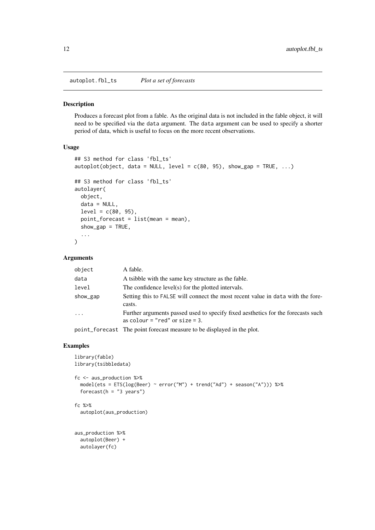<span id="page-11-0"></span>autoplot.fbl\_ts *Plot a set of forecasts*

#### Description

Produces a forecast plot from a fable. As the original data is not included in the fable object, it will need to be specified via the data argument. The data argument can be used to specify a shorter period of data, which is useful to focus on the more recent observations.

## Usage

```
## S3 method for class 'fbl_ts'
autoplot(object, data = NULL, level = c(80, 95), show_gap = TRUE, ...)
## S3 method for class 'fbl_ts'
autolayer(
  object,
  data = NULL,
  level = c(80, 95),
  point_forecast = list(mean = mean),
  show\_gap = TRUE,...
)
```
## Arguments

| object   | A fable.                                                                                                              |
|----------|-----------------------------------------------------------------------------------------------------------------------|
| data     | A tsibble with the same key structure as the fable.                                                                   |
| level    | The confidence level(s) for the plotted intervals.                                                                    |
| show_gap | Setting this to FALSE will connect the most recent value in data with the fore-<br>casts.                             |
| $\cdots$ | Further arguments passed used to specify fixed aesthetics for the forecasts such<br>as colour = "red" or $size = 3$ . |
|          | point forocast. The point forecast measure to be displayed in the plot                                                |

point\_forecast The point forecast measure to be displayed in the plot.

## Examples

```
library(fable)
library(tsibbledata)
fc <- aus_production %>%
  model(ets = ETS(log(Beer) ~ error("M") + trend("Ad") + season("A"))) %>%
  forecast(h = "3 years")fc %>%
  autoplot(aus_production)
aus_production %>%
  autoplot(Beer) +
  autolayer(fc)
```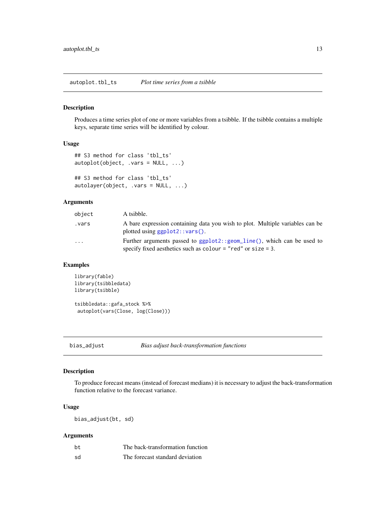<span id="page-12-0"></span>autoplot.tbl\_ts *Plot time series from a tsibble*

#### Description

Produces a time series plot of one or more variables from a tsibble. If the tsibble contains a multiple keys, separate time series will be identified by colour.

## Usage

```
## S3 method for class 'tbl_ts'
autoplot(object, .vars = NULL, ...)
## S3 method for class 'tbl_ts'
autolayer(object, .vars = NULL, ...)
```
## Arguments

| object    | A tsibble.                                                                                                                                 |
|-----------|--------------------------------------------------------------------------------------------------------------------------------------------|
| vars.     | A bare expression containing data you wish to plot. Multiple variables can be<br>plotted using $ggplot2$ : : vars().                       |
| $\ddotsc$ | Further arguments passed to ggplot2::geom_line(), which can be used to<br>specify fixed aesthetics such as colour $=$ "red" or size $=$ 3. |

## Examples

```
library(fable)
library(tsibbledata)
library(tsibble)
tsibbledata::gafa_stock %>%
```
autoplot(vars(Close, log(Close)))

bias\_adjust *Bias adjust back-transformation functions*

#### Description

To produce forecast means (instead of forecast medians) it is necessary to adjust the back-transformation function relative to the forecast variance.

## Usage

bias\_adjust(bt, sd)

| bt  | The back-transformation function |
|-----|----------------------------------|
| .sd | The forecast standard deviation  |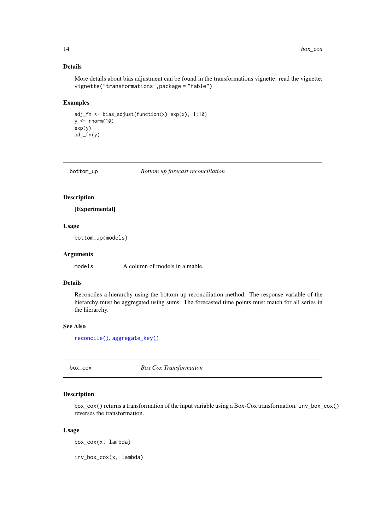## Details

More details about bias adjustment can be found in the transformations vignette: read the vignette: vignette("transformations",package = "fable")

## Examples

```
adj_fn <- bias_adjust(function(x) exp(x), 1:10)
y \leftarrow \text{norm}(10)exp(y)
adj_fn(y)
```
bottom\_up *Bottom up forecast reconciliation*

#### Description

[Experimental]

#### Usage

bottom\_up(models)

#### Arguments

models A column of models in a mable.

#### Details

Reconciles a hierarchy using the bottom up reconciliation method. The response variable of the hierarchy must be aggregated using sums. The forecasted time points must match for all series in the hierarchy.

## See Also

[reconcile\(\)](#page-45-1), [aggregate\\_key\(\)](#page-6-1)

box\_cox *Box Cox Transformation*

#### Description

box\_cox() returns a transformation of the input variable using a Box-Cox transformation. inv\_box\_cox() reverses the transformation.

## Usage

box\_cox(x, lambda)

inv\_box\_cox(x, lambda)

<span id="page-13-0"></span>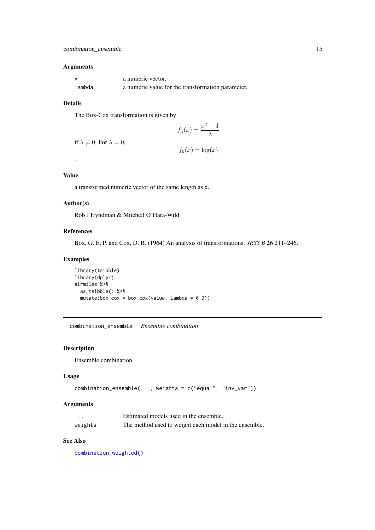#### <span id="page-14-0"></span>Arguments

|        | a numeric vector.                                 |
|--------|---------------------------------------------------|
| lambda | a numeric value for the transformation parameter. |

## Details

The Box-Cox transformation is given by

$$
f_{\lambda}(x) = \frac{x^{\lambda} - 1}{\lambda}
$$

if  $\lambda \neq 0$ . For  $\lambda = 0$ ,

 $f_0(x) = \log(x)$ 

## Value

.

a transformed numeric vector of the same length as x.

## Author(s)

Rob J Hyndman & Mitchell O'Hara-Wild

## References

Box, G. E. P. and Cox, D. R. (1964) An analysis of transformations. *JRSS B* 26 211–246.

## Examples

```
library(tsibble)
library(dplyr)
airmiles %>%
  as_tsibble() %>%
  mutate(box\_cox = box\_cox(value, lambda = 0.3))
```
<span id="page-14-1"></span>combination\_ensemble *Ensemble combination*

## Description

Ensemble combination

#### Usage

```
combination_ensemble(..., weights = c("equal", "inv_var"))
```
## Arguments

| $\cdots$ | Estimated models used in the ensemble.                |
|----------|-------------------------------------------------------|
| weights  | The method used to weight each model in the ensemble. |

## See Also

[combination\\_weighted\(\)](#page-16-1)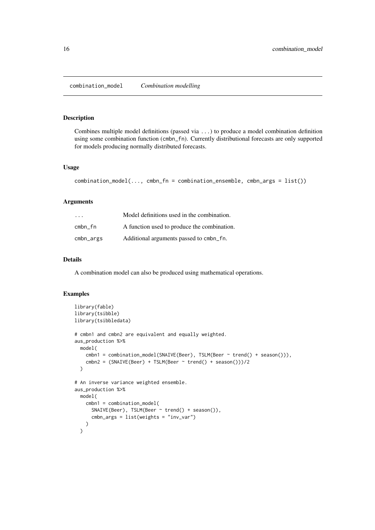<span id="page-15-0"></span>combination\_model *Combination modelling*

#### Description

Combines multiple model definitions (passed via ...) to produce a model combination definition using some combination function (cmbn\_fn). Currently distributional forecasts are only supported for models producing normally distributed forecasts.

#### Usage

```
combination_model(..., cmbn_fn = combination_ensemble, cmbn_args = list())
```
#### Arguments

| $\cdot$ $\cdot$ $\cdot$ | Model definitions used in the combination.  |
|-------------------------|---------------------------------------------|
| cmbn fn                 | A function used to produce the combination. |
| cmbn_args               | Additional arguments passed to cmbn_fn.     |

#### Details

A combination model can also be produced using mathematical operations.

#### Examples

```
library(fable)
library(tsibble)
library(tsibbledata)
# cmbn1 and cmbn2 are equivalent and equally weighted.
aus_production %>%
  model(
    cmbn1 = combination_model(SNAIVE(Beer), TSLM(Beer ~ trend() + season())),
    cmbn2 = (SNAIVE(Beer) + TSLM(Beer ~ trend() + season())/2\mathcal{L}# An inverse variance weighted ensemble.
aus_production %>%
  model(
    cmbn1 = combination_model(
      SNAIVE(Beer), TSLM(Beer ~ trend() + season()),
      cmbn_args = list(weights = "inv_var")
    )
  \lambda
```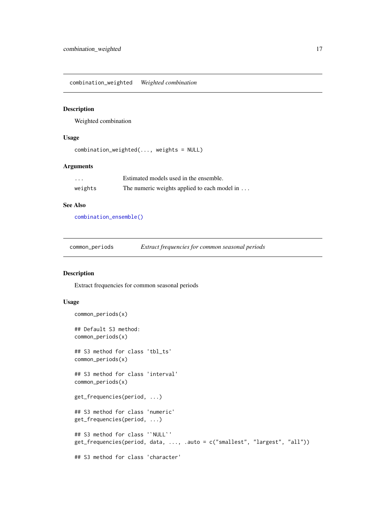<span id="page-16-1"></span><span id="page-16-0"></span>combination\_weighted *Weighted combination*

#### Description

Weighted combination

#### Usage

```
combination_weighted(..., weights = NULL)
```
## Arguments

| $\cdots$ | Estimated models used in the ensemble.       |
|----------|----------------------------------------------|
| weights  | The numeric weights applied to each model in |

## See Also

[combination\\_ensemble\(\)](#page-14-1)

| common_periods | Extract frequencies for common seasonal periods |  |
|----------------|-------------------------------------------------|--|
|                |                                                 |  |

#### Description

Extract frequencies for common seasonal periods

## Usage

```
common_periods(x)
## Default S3 method:
common_periods(x)
## S3 method for class 'tbl_ts'
common_periods(x)
## S3 method for class 'interval'
common_periods(x)
get_frequencies(period, ...)
## S3 method for class 'numeric'
get_frequencies(period, ...)
## S3 method for class '`NULL`'
get_frequencies(period, data, ..., .auto = c("smallest", "largest", "all"))
## S3 method for class 'character'
```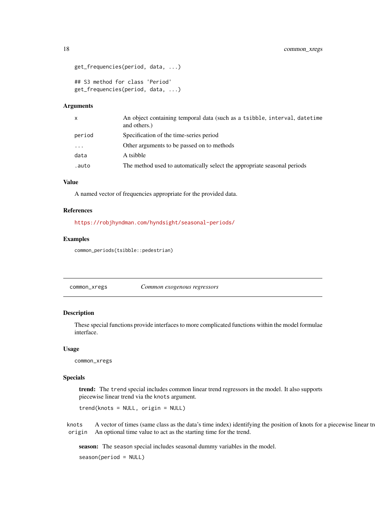```
get_frequencies(period, data, ...)
## S3 method for class 'Period'
get_frequencies(period, data, ...)
```
#### Arguments

| $\mathsf{x}$ | An object containing temporal data (such as a tsibble, interval, datetime<br>and others.) |
|--------------|-------------------------------------------------------------------------------------------|
| period       | Specification of the time-series period                                                   |
| $\cdots$     | Other arguments to be passed on to methods                                                |
| data         | A tsibble                                                                                 |
| .auto        | The method used to automatically select the appropriate seasonal periods                  |

## Value

A named vector of frequencies appropriate for the provided data.

#### References

<https://robjhyndman.com/hyndsight/seasonal-periods/>

#### Examples

common\_periods(tsibble::pedestrian)

common\_xregs *Common exogenous regressors*

## Description

These special functions provide interfaces to more complicated functions within the model formulae interface.

#### Usage

common\_xregs

#### Specials

trend: The trend special includes common linear trend regressors in the model. It also supports piecewise linear trend via the knots argument.

trend(knots = NULL, origin = NULL)

knots A vector of times (same class as the data's time index) identifying the position of knots for a piecewise linear trend. origin An optional time value to act as the starting time for the trend.

season: The season special includes seasonal dummy variables in the model.

season(period = NULL)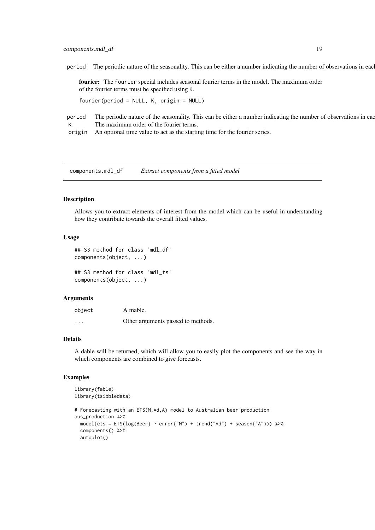#### <span id="page-18-0"></span>components.mdl\_df 19

period The periodic nature of the seasonality. This can be either a number indicating the number of observations in each

fourier: The fourier special includes seasonal fourier terms in the model. The maximum order of the fourier terms must be specified using K.

fourier(period = NULL, K, origin = NULL)

period The periodic nature of the seasonality. This can be either a number indicating the number of observations in each K The maximum order of the fourier terms.

origin An optional time value to act as the starting time for the fourier series.

components.mdl\_df *Extract components from a fitted model*

#### Description

Allows you to extract elements of interest from the model which can be useful in understanding how they contribute towards the overall fitted values.

## Usage

```
## S3 method for class 'mdl_df'
components(object, ...)
```
## S3 method for class 'mdl\_ts' components(object, ...)

#### Arguments

| object                  | A mable.                           |
|-------------------------|------------------------------------|
| $\cdot$ $\cdot$ $\cdot$ | Other arguments passed to methods. |

#### Details

A dable will be returned, which will allow you to easily plot the components and see the way in which components are combined to give forecasts.

#### Examples

```
library(fable)
library(tsibbledata)
# Forecasting with an ETS(M,Ad,A) model to Australian beer production
aus_production %>%
  model(ets = ETS(log(Beer) ~ error("M") + trend("Ad") + season("A"))) %>%
  components() %>%
  autoplot()
```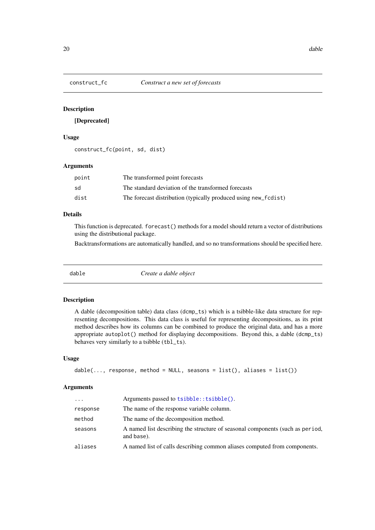<span id="page-19-0"></span>

## [Deprecated]

## Usage

construct\_fc(point, sd, dist)

#### Arguments

| point | The transformed point forecasts                                 |
|-------|-----------------------------------------------------------------|
| sd    | The standard deviation of the transformed forecasts             |
| dist  | The forecast distribution (typically produced using new_fcdist) |

## Details

This function is deprecated. forecast() methods for a model should return a vector of distributions using the distributional package.

Backtransformations are automatically handled, and so no transformations should be specified here.

dable *Create a dable object*

#### Description

A dable (decomposition table) data class (dcmp\_ts) which is a tsibble-like data structure for representing decompositions. This data class is useful for representing decompositions, as its print method describes how its columns can be combined to produce the original data, and has a more appropriate autoplot() method for displaying decompositions. Beyond this, a dable (dcmp\_ts) behaves very similarly to a tsibble (tbl\_ts).

#### Usage

```
dable(..., response, method = NULL, seasons = list(), aliases = list())
```

| $\cdot$ $\cdot$ $\cdot$ | Arguments passed to tsibble:: tsibble().                                                    |
|-------------------------|---------------------------------------------------------------------------------------------|
| response                | The name of the response variable column.                                                   |
| method                  | The name of the decomposition method.                                                       |
| seasons                 | A named list describing the structure of seasonal components (such as period,<br>and base). |
| aliases                 | A named list of calls describing common aliases computed from components.                   |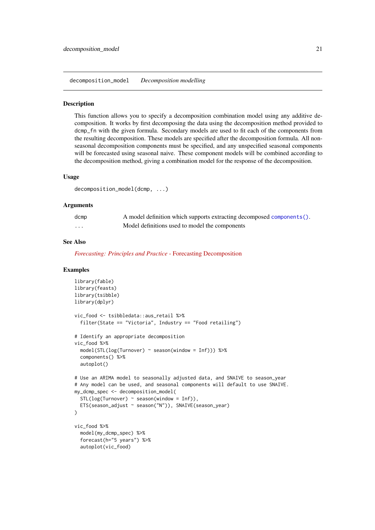<span id="page-20-0"></span>decomposition\_model *Decomposition modelling*

#### Description

This function allows you to specify a decomposition combination model using any additive decomposition. It works by first decomposing the data using the decomposition method provided to dcmp\_fn with the given formula. Secondary models are used to fit each of the components from the resulting decomposition. These models are specified after the decomposition formula. All nonseasonal decomposition components must be specified, and any unspecified seasonal components will be forecasted using seasonal naive. These component models will be combined according to the decomposition method, giving a combination model for the response of the decomposition.

## Usage

```
decomposition_model(dcmp, ...)
```
#### Arguments

| dcmp     | A model definition which supports extracting decomposed components(). |
|----------|-----------------------------------------------------------------------|
| $\cdots$ | Model definitions used to model the components                        |

#### See Also

*[Forecasting: Principles and Practice](https://otexts.com/fpp3/forecasting-decomposition.html)* - Forecasting Decomposition

#### Examples

```
library(fable)
library(feasts)
library(tsibble)
library(dplyr)
vic_food <- tsibbledata::aus_retail %>%
  filter(State == "Victoria", Industry == "Food retailing")
# Identify an appropriate decomposition
vic_food %>%
  model(STL(log(Turnover) ~ season(window = Inf))) %>%
  components() %>%
  autoplot()
# Use an ARIMA model to seasonally adjusted data, and SNAIVE to season_year
# Any model can be used, and seasonal components will default to use SNAIVE.
my_dcmp_spec <- decomposition_model(
  STL(log(Turnover) ~ season(window = Inf)),
  ETS(season_adjust ~ season("N")), SNAIVE(season_year)
\lambdavic_food %>%
  model(my_dcmp_spec) %>%
  forecast(h="5 years") %>%
  autoplot(vic_food)
```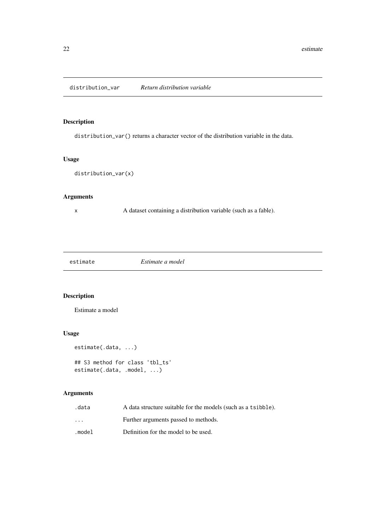<span id="page-21-0"></span>

distribution\_var() returns a character vector of the distribution variable in the data.

## Usage

```
distribution_var(x)
```
## Arguments

x A dataset containing a distribution variable (such as a fable).

estimate *Estimate a model*

## Description

Estimate a model

## Usage

```
estimate(.data, ...)
```

```
## S3 method for class 'tbl_ts'
estimate(.data, .model, ...)
```

| .data                   | A data structure suitable for the models (such as a tsibble). |
|-------------------------|---------------------------------------------------------------|
| $\cdot$ $\cdot$ $\cdot$ | Further arguments passed to methods.                          |
| .model                  | Definition for the model to be used.                          |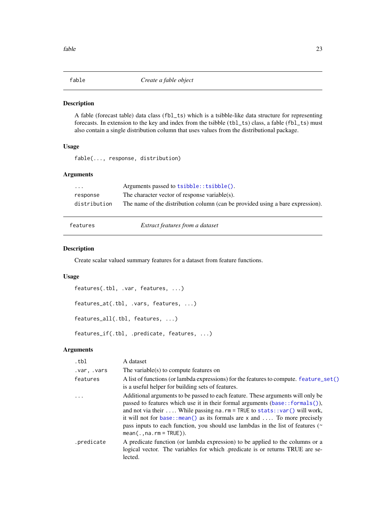<span id="page-22-0"></span>

A fable (forecast table) data class (fbl\_ts) which is a tsibble-like data structure for representing forecasts. In extension to the key and index from the tsibble (tbl\_ts) class, a fable (fbl\_ts) must also contain a single distribution column that uses values from the distributional package.

## Usage

fable(..., response, distribution)

## Arguments

| $\cdot$ $\cdot$ $\cdot$ | Arguments passed to tsibble::tsibble().                                        |
|-------------------------|--------------------------------------------------------------------------------|
| response                | The character vector of response variable(s).                                  |
| distribution            | The name of the distribution column (can be provided using a bare expression). |

features *Extract features from a dataset*

#### Description

Create scalar valued summary features for a dataset from feature functions.

## Usage

```
features(.tbl, .var, features, ...)
features_at(.tbl, .vars, features, ...)
features_all(.tbl, features, ...)
features_if(.tbl, .predicate, features, ...)
```

| .tbl        | A dataset                                                                                                                                                                                                                                                                                                                                                                                                                                            |
|-------------|------------------------------------------------------------------------------------------------------------------------------------------------------------------------------------------------------------------------------------------------------------------------------------------------------------------------------------------------------------------------------------------------------------------------------------------------------|
| .var, .vars | The variable(s) to compute features on                                                                                                                                                                                                                                                                                                                                                                                                               |
| features    | A list of functions (or lambda expressions) for the features to compute. feature_set()<br>is a useful helper for building sets of features.                                                                                                                                                                                                                                                                                                          |
|             | Additional arguments to be passed to each feature. These arguments will only be<br>passed to features which use it in their formal arguments $(base::formals(),$<br>and not via their  While passing na.rm = TRUE to stats::var() will work,<br>it will not for base: : mean() as its formals are $x$ and  To more precisely<br>pass inputs to each function, you should use lambdas in the list of features ( $\sim$<br>$mean($ ., na. rm = TRUE)). |
| .predicate  | A predicate function (or lambda expression) to be applied to the columns or a<br>logical vector. The variables for which .predicate is or returns TRUE are se-<br>lected.                                                                                                                                                                                                                                                                            |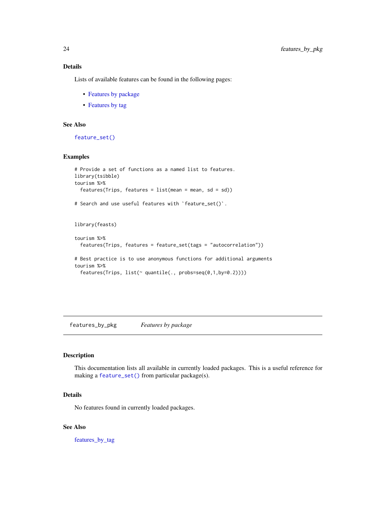## Details

Lists of available features can be found in the following pages:

- [Features by package](#page-23-1)
- [Features by tag](#page-24-2)

## See Also

[feature\\_set\(\)](#page-24-1)

## Examples

```
# Provide a set of functions as a named list to features.
library(tsibble)
tourism %>%
  features(Trips, features = list(mean = mean, sd = sd))
# Search and use useful features with `feature_set()`.
library(feasts)
tourism %>%
  features(Trips, features = feature_set(tags = "autocorrelation"))
# Best practice is to use anonymous functions for additional arguments
tourism %>%
  features(Trips, list(~ quantile(., probs=seq(0,1,by=0.2))))
```
<span id="page-23-1"></span>features\_by\_pkg *Features by package*

## Description

This documentation lists all available in currently loaded packages. This is a useful reference for making a [feature\\_set\(\)](#page-24-1) from particular package(s).

## Details

No features found in currently loaded packages.

## See Also

features by tag

<span id="page-23-0"></span>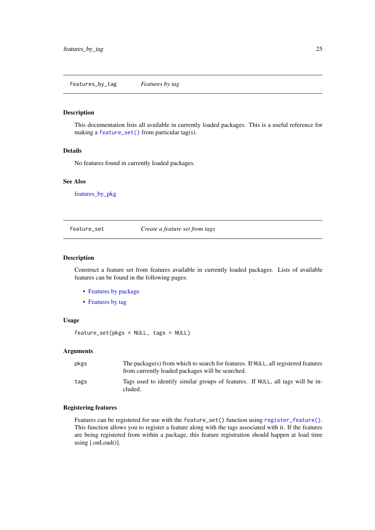<span id="page-24-2"></span><span id="page-24-0"></span>features\_by\_tag *Features by tag*

#### Description

This documentation lists all available in currently loaded packages. This is a useful reference for making a [feature\\_set\(\)](#page-24-1) from particular tag(s).

#### Details

No features found in currently loaded packages.

#### See Also

[features\\_by\\_pkg](#page-23-1)

<span id="page-24-1"></span>feature\_set *Create a feature set from tags*

## Description

Construct a feature set from features available in currently loaded packages. Lists of available features can be found in the following pages:

- [Features by package](#page-23-1)
- [Features by tag](#page-24-2)

#### Usage

feature\_set(pkgs = NULL, tags = NULL)

#### Arguments

| pkgs | The package(s) from which to search for features. If NULL, all registered features<br>from currently loaded packages will be searched. |
|------|----------------------------------------------------------------------------------------------------------------------------------------|
| tags | Tags used to identify similar groups of features. If NULL, all tags will be in-<br>cluded.                                             |

#### Registering features

Features can be registered for use with the feature\_set() function using [register\\_feature\(\)](#page-46-1). This function allows you to register a feature along with the tags associated with it. If the features are being registered from within a package, this feature registration should happen at load time using [.onLoad()].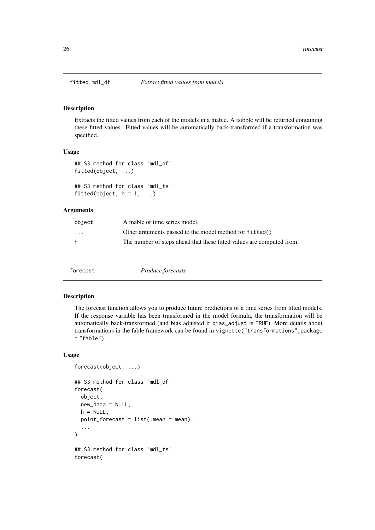<span id="page-25-0"></span>

Extracts the fitted values from each of the models in a mable. A tsibble will be returned containing these fitted values. Fitted values will be automatically back-transformed if a transformation was specified.

#### Usage

```
## S3 method for class 'mdl_df'
fitted(object, ...)
```
## S3 method for class 'mdl\_ts' fitted(object,  $h = 1, ...$ )

## Arguments

| object                  | A mable or time series model.                                         |
|-------------------------|-----------------------------------------------------------------------|
| $\cdot$ $\cdot$ $\cdot$ | Other arguments passed to the model method for fitted()               |
| h                       | The number of steps ahead that these fitted values are computed from. |

forecast *Produce forecasts*

#### Description

The forecast function allows you to produce future predictions of a time series from fitted models. If the response variable has been transformed in the model formula, the transformation will be automatically back-transformed (and bias adjusted if bias\_adjust is TRUE). More details about transformations in the fable framework can be found in vignette("transformations",package  $=$  "fable").

#### Usage

```
forecast(object, ...)
## S3 method for class 'mdl_df'
forecast(
  object,
  new_data = NULL,
  h = NULL,
  point_forecast = list(.mean = mean),
  ...
)
## S3 method for class 'mdl_ts'
forecast(
```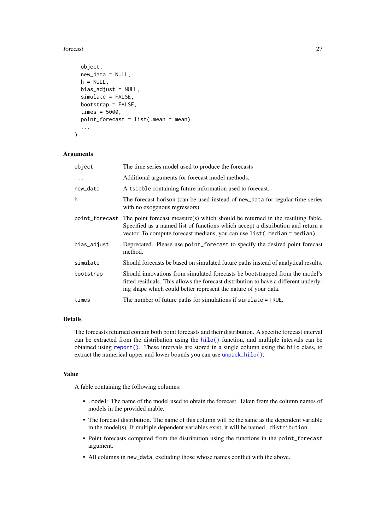#### <span id="page-26-0"></span>forecast 27

```
object,
  new_data = NULL,h = NULL,bias_adjust = NULL,
  simulate = FALSE,
  bootstrap = FALSE,
  times = 5000,
  point_forecast = list(.mean = mean),
  ...
\lambda
```
#### Arguments

| object         | The time series model used to produce the forecasts                                                                                                                                                                                             |
|----------------|-------------------------------------------------------------------------------------------------------------------------------------------------------------------------------------------------------------------------------------------------|
| $\ddots$ .     | Additional arguments for forecast model methods.                                                                                                                                                                                                |
| new_data       | A tsibble containing future information used to forecast.                                                                                                                                                                                       |
| h              | The forecast horison (can be used instead of new_data for regular time series<br>with no exogenous regressors).                                                                                                                                 |
| point_forecast | The point forecast measure(s) which should be returned in the resulting fable.<br>Specified as a named list of functions which accept a distribution and return a<br>vector. To compute forecast medians, you can use list (. median = median). |
| bias_adjust    | Deprecated. Please use point_forecast to specify the desired point forecast<br>method.                                                                                                                                                          |
| simulate       | Should forecasts be based on simulated future paths instead of analytical results.                                                                                                                                                              |
| bootstrap      | Should innovations from simulated forecasts be bootstrapped from the model's<br>fitted residuals. This allows the forecast distribution to have a different underly-<br>ing shape which could better represent the nature of your data.         |
| times          | The number of future paths for simulations if simulate = TRUE.                                                                                                                                                                                  |

## Details

The forecasts returned contain both point forecasts and their distribution. A specific forecast interval can be extracted from the distribution using the [hilo\(\)](#page-0-0) function, and multiple intervals can be obtained using [report\(\)](#page-47-1). These intervals are stored in a single column using the hilo class, to extract the numerical upper and lower bounds you can use [unpack\\_hilo\(\)](#page-53-1).

#### Value

A fable containing the following columns:

- .model: The name of the model used to obtain the forecast. Taken from the column names of models in the provided mable.
- The forecast distribution. The name of this column will be the same as the dependent variable in the model(s). If multiple dependent variables exist, it will be named .distribution.
- Point forecasts computed from the distribution using the functions in the point\_forecast argument.
- All columns in new\_data, excluding those whose names conflict with the above.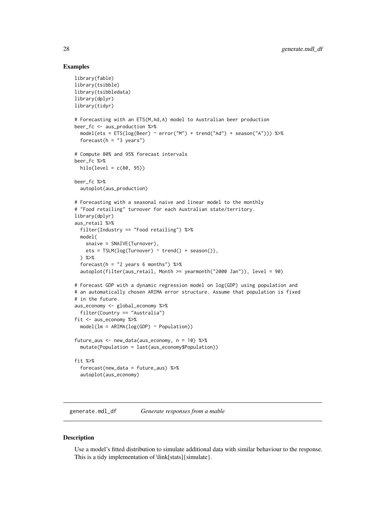#### Examples

```
library(fable)
library(tsibble)
library(tsibbledata)
library(dplyr)
library(tidyr)
# Forecasting with an ETS(M,Ad,A) model to Australian beer production
beer_fc <- aus_production %>%
  model(ets = ETS(log(Beer) ~ error("M") + trend("Ad") + season("A"))) %>%
  forecast(h = "3 years")# Compute 80% and 95% forecast intervals
beer_fc %>%
  hilo(level = c(80, 95))
beer_fc %>%
  autoplot(aus_production)
# Forecasting with a seasonal naive and linear model to the monthly
# "Food retailing" turnover for each Australian state/territory.
library(dplyr)
aus_retail %>%
  filter(Industry == "Food retailing") %>%
  model(
    snaive = SNAIVE(Turnover),
    ets = TSLM(log(Turnover) \sim trend() + season()),
  ) %>%
  forecast(h = "2 years 6 months") %>%
  autoplot(filter(aus_retail, Month >= yearmonth("2000 Jan")), level = 90)
# Forecast GDP with a dynamic regression model on log(GDP) using population and
# an automatically chosen ARIMA error structure. Assume that population is fixed
# in the future.
aus_economy <- global_economy %>%
  filter(Country == "Australia")
fit <- aus_economy %>%
  model(lm = ARIMA(log(GDP) ~ Population))
future_aus <- new_data(aus_economy, n = 10) %>%
  mutate(Population = last(aus_economy$Population))
fit %>%
  forecast(new_data = future_aus) %>%
  autoplot(aus_economy)
```
generate.mdl\_df *Generate responses from a mable*

#### Description

Use a model's fitted distribution to simulate additional data with similar behaviour to the response. This is a tidy implementation of \link[stats]{simulate}.

<span id="page-27-0"></span>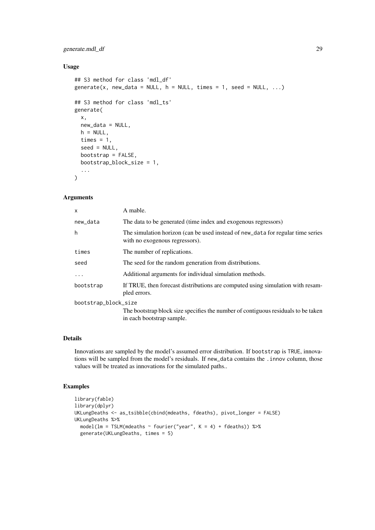#### generate.mdl\_df 29

## Usage

```
## S3 method for class 'mdl_df'
generate(x, new_data = NULL, h = NULL, times = 1, seed = NULL, ...)
## S3 method for class 'mdl_ts'
generate(
  x,
  new_data = NULL,
  h = NULL,times = 1,
  seed = NULL,
  bootstrap = FALSE,
  bootstrap_block_size = 1,
  ...
\lambda
```
## Arguments

| X                    | A mable.                                                                                                          |  |
|----------------------|-------------------------------------------------------------------------------------------------------------------|--|
| new_data             | The data to be generated (time index and exogenous regressors)                                                    |  |
| h                    | The simulation horizon (can be used instead of new_data for regular time series<br>with no exogenous regressors). |  |
| times                | The number of replications.                                                                                       |  |
| seed                 | The seed for the random generation from distributions.                                                            |  |
| .                    | Additional arguments for individual simulation methods.                                                           |  |
| bootstrap            | If TRUE, then forecast distributions are computed using simulation with resam-<br>pled errors.                    |  |
| bootstrap_block_size |                                                                                                                   |  |
|                      | The bootstrap block size specifies the number of contiguous residuals to be taken<br>in each bootstrap sample.    |  |

## Details

Innovations are sampled by the model's assumed error distribution. If bootstrap is TRUE, innovations will be sampled from the model's residuals. If new\_data contains the .innov column, those values will be treated as innovations for the simulated paths..

## Examples

```
library(fable)
library(dplyr)
UKLungDeaths <- as_tsibble(cbind(mdeaths, fdeaths), pivot_longer = FALSE)
UKLungDeaths %>%
  model(lm = TSLM(mdeaths \sim fourier("year", K = 4) + fdeaths)) %>%
  generate(UKLungDeaths, times = 5)
```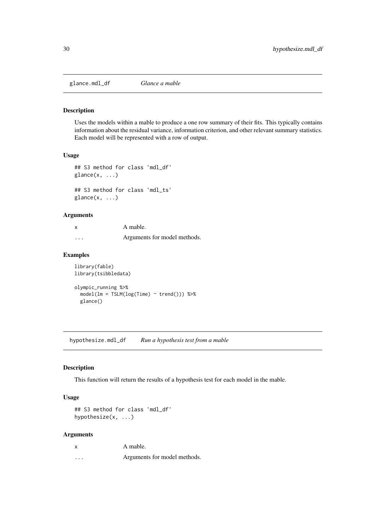<span id="page-29-0"></span>glance.mdl\_df *Glance a mable*

#### Description

Uses the models within a mable to produce a one row summary of their fits. This typically contains information about the residual variance, information criterion, and other relevant summary statistics. Each model will be represented with a row of output.

## Usage

```
## S3 method for class 'mdl_df'
glance(x, \ldots)## S3 method for class 'mdl_ts'
\text{glance}(x, \ldots)
```
#### Arguments

| x | A mable.                     |
|---|------------------------------|
| . | Arguments for model methods. |

## Examples

```
library(fable)
library(tsibbledata)
olympic_running %>%
  model(lm = TSLM(log(Time) \sim trend()) %>%
  glance()
```
hypothesize.mdl\_df *Run a hypothesis test from a mable*

## Description

This function will return the results of a hypothesis test for each model in the mable.

## Usage

```
## S3 method for class 'mdl_df'
hypothesize(x, ...)
```

| X        | A mable.                     |
|----------|------------------------------|
| $\cdots$ | Arguments for model methods. |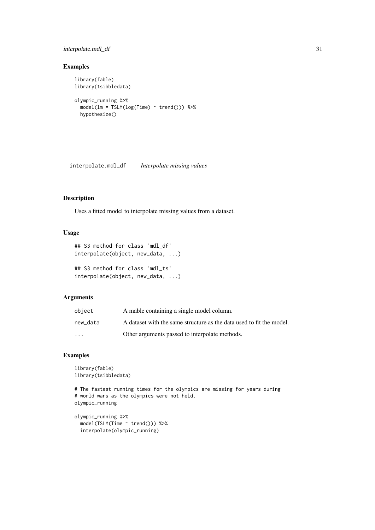#### <span id="page-30-0"></span>interpolate.mdl\_df 31

## Examples

```
library(fable)
library(tsibbledata)
olympic_running %>%
  model(lm = TSLM(log(Time) \sim trend()) %>%
  hypothesize()
```
interpolate.mdl\_df *Interpolate missing values*

#### Description

Uses a fitted model to interpolate missing values from a dataset.

## Usage

```
## S3 method for class 'mdl_df'
interpolate(object, new_data, ...)
## S3 method for class 'mdl_ts'
interpolate(object, new_data, ...)
```
## Arguments

| object   | A mable containing a single model column.                            |
|----------|----------------------------------------------------------------------|
| new data | A dataset with the same structure as the data used to fit the model. |
| $\cdots$ | Other arguments passed to interpolate methods.                       |

#### Examples

```
library(fable)
library(tsibbledata)
```

```
# The fastest running times for the olympics are missing for years during
# world wars as the olympics were not held.
olympic_running
```

```
olympic_running %>%
 model(TSLM(Time ~ trend())) %>%
  interpolate(olympic_running)
```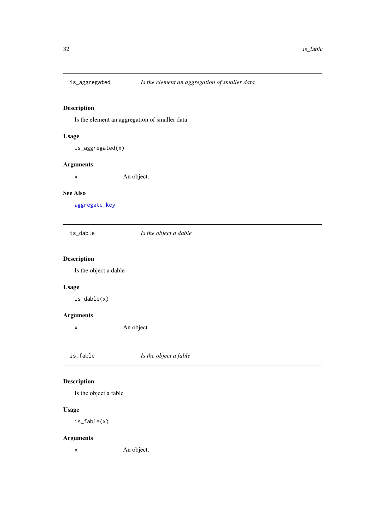<span id="page-31-1"></span><span id="page-31-0"></span>

Is the element an aggregation of smaller data

## Usage

is\_aggregated(x)

#### Arguments

x An object.

#### See Also

[aggregate\\_key](#page-6-1)

| is_dable | Is the object a dable |
|----------|-----------------------|
|----------|-----------------------|

## Description

Is the object a dable

## Usage

is\_dable(x)

## Arguments

x An object.

is\_fable *Is the object a fable*

## Description

Is the object a fable

## Usage

is\_fable(x)

## Arguments

x An object.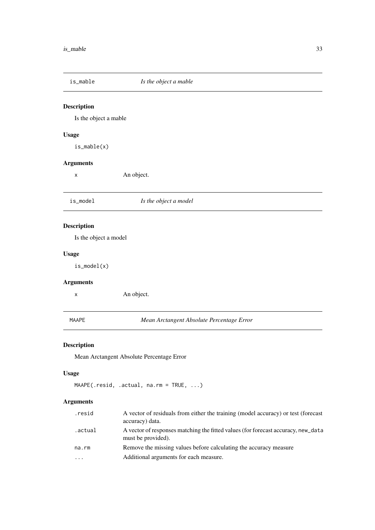<span id="page-32-0"></span>

Is the object a mable

## Usage

is\_mable(x)

## Arguments

x An object.

is\_model *Is the object a model*

## Description

Is the object a model

### Usage

is\_model(x)

## Arguments

x An object.

MAAPE *Mean Arctangent Absolute Percentage Error*

## Description

Mean Arctangent Absolute Percentage Error

## Usage

```
MAAPE(.resid, .actual, na.rm = TRUE, ...)
```

| .resid   | A vector of residuals from either the training (model accuracy) or test (forecast<br>accuracy) data.    |
|----------|---------------------------------------------------------------------------------------------------------|
| .actual. | A vector of responses matching the fitted values (for forecast accuracy, new_data<br>must be provided). |
| na.rm    | Remove the missing values before calculating the accuracy measure                                       |
| $\cdots$ | Additional arguments for each measure.                                                                  |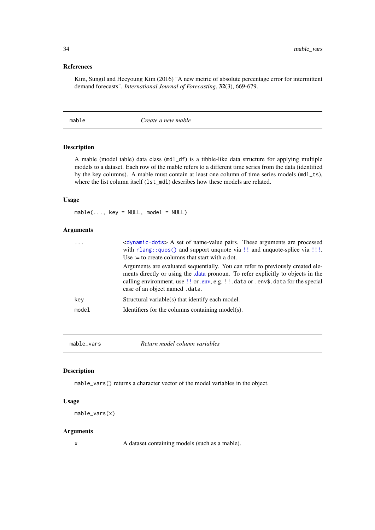#### <span id="page-33-0"></span>References

Kim, Sungil and Heeyoung Kim (2016) "A new metric of absolute percentage error for intermittent demand forecasts". *International Journal of Forecasting*, 32(3), 669-679.

mable *Create a new mable*

## Description

A mable (model table) data class (mdl\_df) is a tibble-like data structure for applying multiple models to a dataset. Each row of the mable refers to a different time series from the data (identified by the key columns). A mable must contain at least one column of time series models (mdl\_ts), where the list column itself (1st\_mdl) describes how these models are related.

## Usage

 $mable(..., key = NULL, model = NULL)$ 

## Arguments

| $\cdot$ $\cdot$ $\cdot$ | <dynamic-dots> A set of name-value pairs. These arguments are processed<br/>with <math>r</math>lang::<math>q</math>uos() and support unquote via !! and unquote-splice via !!!<br/>Use := to create columns that start with a dot.</dynamic-dots>                                            |
|-------------------------|----------------------------------------------------------------------------------------------------------------------------------------------------------------------------------------------------------------------------------------------------------------------------------------------|
|                         | Arguments are evaluated sequentially. You can refer to previously created ele-<br>ments directly or using the data pronoun. To refer explicitly to objects in the<br>calling environment, use !! or .env, e.g. !! . data or . env\$. data for the special<br>case of an object named . data. |
| key                     | Structural variable(s) that identify each model.                                                                                                                                                                                                                                             |
| model                   | Identifiers for the columns containing model(s).                                                                                                                                                                                                                                             |
|                         |                                                                                                                                                                                                                                                                                              |

mable\_vars *Return model column variables*

#### Description

mable\_vars() returns a character vector of the model variables in the object.

### Usage

```
mable_vars(x)
```
## Arguments

x A dataset containing models (such as a mable).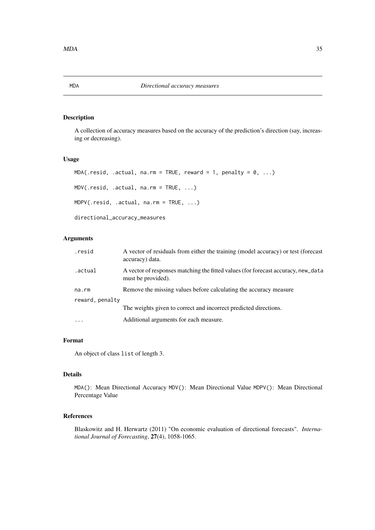<span id="page-34-0"></span>A collection of accuracy measures based on the accuracy of the prediction's direction (say, increasing or decreasing).

## Usage

```
MDA(.resid, .actual, na.rm = TRUE, reward = 1, penalty = 0, ...)MDV(.resid, .actual, na.rm = TRUE, ...)
MDPV(.resid, .actual, na.rm = TRUE, ...)
directional_accuracy_measures
```
## Arguments

| .resid          | A vector of residuals from either the training (model accuracy) or test (forecast<br>accuracy) data.    |
|-----------------|---------------------------------------------------------------------------------------------------------|
| .actual.        | A vector of responses matching the fitted values (for forecast accuracy, new_data<br>must be provided). |
| na.rm           | Remove the missing values before calculating the accuracy measure                                       |
| reward, penalty |                                                                                                         |
|                 | The weights given to correct and incorrect predicted directions.                                        |
| $\ddots$ .      | Additional arguments for each measure.                                                                  |

## Format

An object of class list of length 3.

## Details

MDA(): Mean Directional Accuracy MDV(): Mean Directional Value MDPV(): Mean Directional Percentage Value

## References

Blaskowitz and H. Herwartz (2011) "On economic evaluation of directional forecasts". *International Journal of Forecasting*, 27(4), 1058-1065.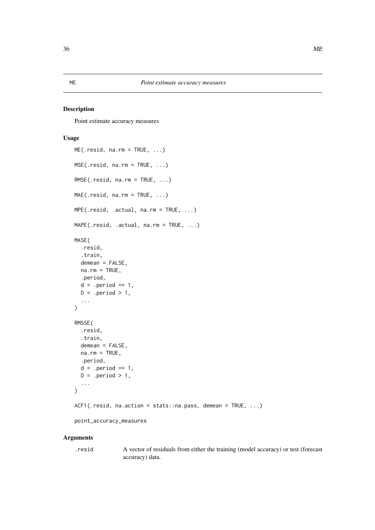Point estimate accuracy measures

## Usage

```
ME(\text{.resid}, \text{na.rm} = TRUE, \dots)MSE(.resid, na.rm = TRUE, ...)
RMSE(.resid, na.rm = TRUE, ...)MAE(.resid, na.rm = TRUE, ...)MPE(.resid, .actual, na.rm = TRUE, ...)
MAPE(.resid, .actual, na.rm = TRUE, ...)
MASE(
  .resid,
  .train,
  demean = FALSE,
  na.rm = TRUE,.period,
  d = .period == 1,D = .period > 1,...
\lambdaRMSSE(
  .resid,
  .train,
  demean = FALSE,
  na.rm = TRUE,.period,
  d = .period == 1,D = .period > 1,
  ...
\lambdaACF1(.resid, na.action = stats::na.pass, demean = TRUE, ...)point_accuracy_measures
```
#### Arguments

.resid A vector of residuals from either the training (model accuracy) or test (forecast accuracy) data.

## <span id="page-35-1"></span><span id="page-35-0"></span>ME *Point estimate accuracy measures*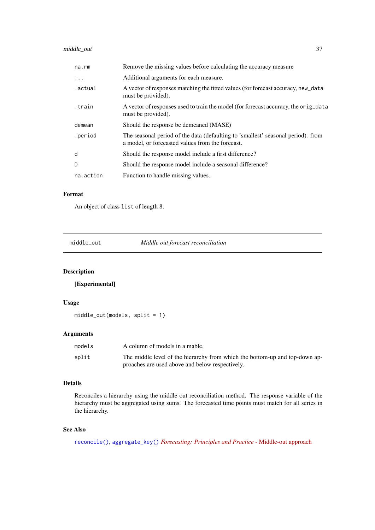## <span id="page-36-0"></span>middle\_out 37

| na.rm     | Remove the missing values before calculating the accuracy measure                                                                    |
|-----------|--------------------------------------------------------------------------------------------------------------------------------------|
| .         | Additional arguments for each measure.                                                                                               |
| .actual   | A vector of responses matching the fitted values (for forecast accuracy, new_data<br>must be provided).                              |
| train.    | A vector of responses used to train the model (for forecast accuracy, the orig_data<br>must be provided).                            |
| demean    | Should the response be demeaned (MASE)                                                                                               |
| .period   | The seasonal period of the data (defaulting to 'smallest' seasonal period). from<br>a model, or forecasted values from the forecast. |
| d         | Should the response model include a first difference?                                                                                |
| D         | Should the response model include a seasonal difference?                                                                             |
| na.action | Function to handle missing values.                                                                                                   |

#### Format

An object of class list of length 8.

middle\_out *Middle out forecast reconciliation*

## Description

[Experimental]

## Usage

middle\_out(models, split = 1)

## Arguments

| models | A column of models in a mable.                                              |
|--------|-----------------------------------------------------------------------------|
| split  | The middle level of the hierarchy from which the bottom-up and top-down ap- |
|        | proaches are used above and below respectively.                             |

## Details

Reconciles a hierarchy using the middle out reconciliation method. The response variable of the hierarchy must be aggregated using sums. The forecasted time points must match for all series in the hierarchy.

## See Also

[reconcile\(\)](#page-45-1), [aggregate\\_key\(\)](#page-6-1) *[Forecasting: Principles and Practice](https://otexts.com/fpp3/single-level.html#middle-out-approach)* - Middle-out approach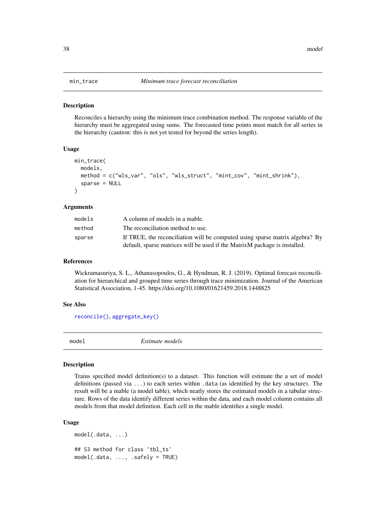<span id="page-37-0"></span>Reconciles a hierarchy using the minimum trace combination method. The response variable of the hierarchy must be aggregated using sums. The forecasted time points must match for all series in the hierarchy (caution: this is not yet tested for beyond the series length).

#### Usage

```
min_trace(
  models,
  method = c("wls_var", "ols", "wls_struct", "mint_cov", "mint_shrink"),
  sparse = NULL
\lambda
```
#### Arguments

| models | A column of models in a mable.                                                                                                                             |
|--------|------------------------------------------------------------------------------------------------------------------------------------------------------------|
| method | The reconciliation method to use.                                                                                                                          |
| sparse | If TRUE, the reconciliation will be computed using sparse matrix algebra? By<br>default, sparse matrices will be used if the MatrixM package is installed. |

#### References

Wickramasuriya, S. L., Athanasopoulos, G., & Hyndman, R. J. (2019). Optimal forecast reconciliation for hierarchical and grouped time series through trace minimization. Journal of the American Statistical Association, 1-45. https://doi.org/10.1080/01621459.2018.1448825

#### See Also

[reconcile\(\)](#page-45-1), [aggregate\\_key\(\)](#page-6-1)

model *Estimate models*

## Description

Trains specified model definition(s) to a dataset. This function will estimate the a set of model definitions (passed via ...) to each series within .data (as identified by the key structure). The result will be a mable (a model table), which neatly stores the estimated models in a tabular structure. Rows of the data identify different series within the data, and each model column contains all models from that model definition. Each cell in the mable identifies a single model.

## Usage

```
model(.data, ...)
## S3 method for class 'tbl_ts'
model(.data, ..., .safely = TRUE)
```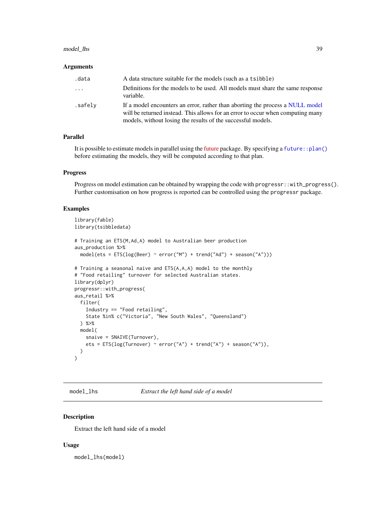#### <span id="page-38-0"></span>model\_lhs 39

#### Arguments

| .data    | A data structure suitable for the models (such as a tsibble)                                                                                                                                                                     |
|----------|----------------------------------------------------------------------------------------------------------------------------------------------------------------------------------------------------------------------------------|
| $\cdots$ | Definitions for the models to be used. All models must share the same response<br>variable.                                                                                                                                      |
| .safely  | If a model encounters an error, rather than aborting the process a NULL model<br>will be returned instead. This allows for an error to occur when computing many<br>models, without losing the results of the successful models. |

## Parallel

It is possible to estimate models in parallel using the [future](https://cran.r-project.org/package=future) package. By specifying a [future::plan\(\)](#page-0-0) before estimating the models, they will be computed according to that plan.

#### Progress

Progress on model estimation can be obtained by wrapping the code with progressr::with\_progress(). Further customisation on how progress is reported can be controlled using the progressr package.

#### Examples

```
library(fable)
library(tsibbledata)
# Training an ETS(M,Ad,A) model to Australian beer production
aus_production %>%
 model(ets = ETS(log(Beer) ~ error("M") + trend("Ad") + season("A")))
# Training a seasonal naive and ETS(A,A,A) model to the monthly
# "Food retailing" turnover for selected Australian states.
library(dplyr)
progressr::with_progress(
aus_retail %>%
 filter(
    Industry == "Food retailing",
    State %in% c("Victoria", "New South Wales", "Queensland")
  ) %>%
  model(
    snaive = SNAIVE(Turnover),
    ets = ETS(log(Turnover) ~ ~ ~ ~ error("A") ~ + ~ trend("A") ~ + ~ season("A")),
  )
)
```
model\_lhs *Extract the left hand side of a model*

#### Description

Extract the left hand side of a model

## Usage

model\_lhs(model)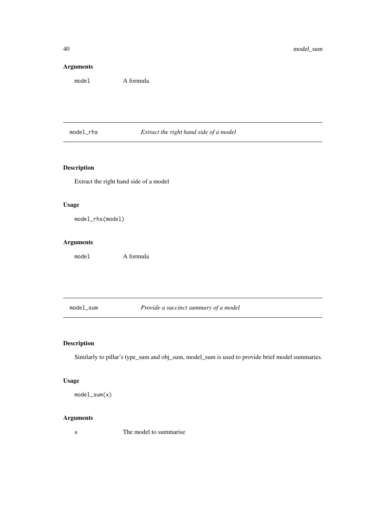## Arguments

model A formula

model\_rhs *Extract the right hand side of a model*

## Description

Extract the right hand side of a model

## Usage

model\_rhs(model)

## Arguments

model A formula

model\_sum *Provide a succinct summary of a model*

## Description

Similarly to pillar's type\_sum and obj\_sum, model\_sum is used to provide brief model summaries.

## Usage

model\_sum(x)

## Arguments

x The model to summarise

<span id="page-39-0"></span>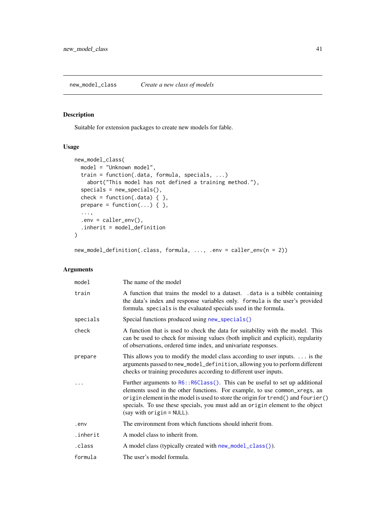<span id="page-40-1"></span><span id="page-40-0"></span>new\_model\_class *Create a new class of models*

## Description

Suitable for extension packages to create new models for fable.

## Usage

```
new_model_class(
  model = "Unknown model",train = function(.data, formula, specials, ...)
    abort("This model has not defined a training method."),
  species = new_specials(),
  check = function(.data) { \},
  prepare = function(...) \{ \},
  ...,
  env = caller_env(),.inherit = model_definition
)
```
## new\_model\_definition(.class, formula, ..., .env = caller\_env(n = 2))

| model    | The name of the model                                                                                                                                                                                                                                                                                                                                                 |
|----------|-----------------------------------------------------------------------------------------------------------------------------------------------------------------------------------------------------------------------------------------------------------------------------------------------------------------------------------------------------------------------|
| train    | A function that trains the model to a dataset. .data is a tsibble containing<br>the data's index and response variables only. formula is the user's provided<br>formula. specials is the evaluated specials used in the formula.                                                                                                                                      |
| specials | Special functions produced using new_specials()                                                                                                                                                                                                                                                                                                                       |
| check    | A function that is used to check the data for suitability with the model. This<br>can be used to check for missing values (both implicit and explicit), regularity<br>of observations, ordered time index, and univariate responses.                                                                                                                                  |
| prepare  | This allows you to modify the model class according to user inputs. $\dots$ is the<br>arguments passed to new_model_definition, allowing you to perform different<br>checks or training procedures according to different user inputs.                                                                                                                                |
|          | Further arguments to $R6$ : $R6Class()$ . This can be useful to set up additional<br>elements used in the other functions. For example, to use common_xregs, an<br>origin element in the model is used to store the origin for trend() and fourier()<br>specials. To use these specials, you must add an origin element to the object<br>(say with $origin = NULL$ ). |
| .env     | The environment from which functions should inherit from.                                                                                                                                                                                                                                                                                                             |
| .inherit | A model class to inherit from.                                                                                                                                                                                                                                                                                                                                        |
| .class   | A model class (typically created with new_model_class()).                                                                                                                                                                                                                                                                                                             |
| formula  | The user's model formula.                                                                                                                                                                                                                                                                                                                                             |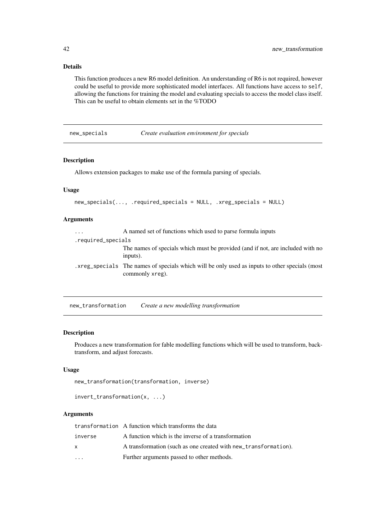## Details

This function produces a new R6 model definition. An understanding of R6 is not required, however could be useful to provide more sophisticated model interfaces. All functions have access to self, allowing the functions for training the model and evaluating specials to access the model class itself. This can be useful to obtain elements set in the %TODO

<span id="page-41-1"></span>new\_specials *Create evaluation environment for specials*

#### Description

Allows extension packages to make use of the formula parsing of specials.

## Usage

```
new_specials(..., .required_specials = NULL, .xreg_specials = NULL)
```
## Arguments

| $\cdots$           | A named set of functions which used to parse formula inputs                                                        |
|--------------------|--------------------------------------------------------------------------------------------------------------------|
| .required_specials |                                                                                                                    |
|                    | The names of specials which must be provided (and if not, are included with no<br>inputs).                         |
|                    | . xreg_specials The names of specials which will be only used as inputs to other specials (most<br>commonly xreg). |

new\_transformation *Create a new modelling transformation*

#### Description

Produces a new transformation for fable modelling functions which will be used to transform, backtransform, and adjust forecasts.

## Usage

```
new_transformation(transformation, inverse)
```
invert\_transformation(x, ...)

|          | transformation A function which transforms the data             |
|----------|-----------------------------------------------------------------|
| inverse  | A function which is the inverse of a transformation             |
| <b>X</b> | A transformation (such as one created with new_transformation). |
| $\cdot$  | Further arguments passed to other methods.                      |

<span id="page-41-0"></span>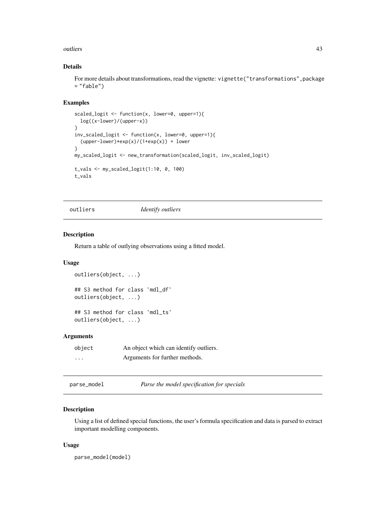#### <span id="page-42-0"></span>outliers and the contract of the contract of the contract of the contract of the contract of the contract of the contract of the contract of the contract of the contract of the contract of the contract of the contract of t

## Details

For more details about transformations, read the vignette: vignette("transformations",package = "fable")

## Examples

```
scaled_logit \le function(x, lower=0, upper=1){
 log((x-lower)/(upper-x))
}
inv_scaled_logit <- function(x, lower=0, upper=1){
  (upper-lower)*exp(x)/(1+exp(x)) + lower}
my_scaled_logit <- new_transformation(scaled_logit, inv_scaled_logit)
t_vals <- my_scaled_logit(1:10, 0, 100)
t_vals
```
outliers *Identify outliers*

#### Description

Return a table of outlying observations using a fitted model.

#### Usage

```
outliers(object, ...)
## S3 method for class 'mdl_df'
outliers(object, ...)
## S3 method for class 'mdl_ts'
outliers(object, ...)
```
## Arguments

| object   | An object which can identify outliers. |
|----------|----------------------------------------|
| $\cdots$ | Arguments for further methods.         |

| parse_model | Parse the model specification for specials |  |
|-------------|--------------------------------------------|--|
|-------------|--------------------------------------------|--|

## Description

Using a list of defined special functions, the user's formula specification and data is parsed to extract important modelling components.

## Usage

parse\_model(model)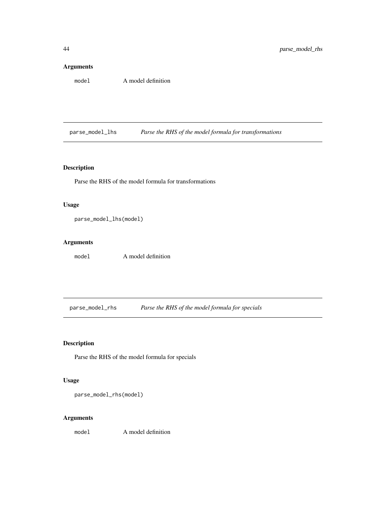## <span id="page-43-0"></span>Arguments

model A model definition

parse\_model\_lhs *Parse the RHS of the model formula for transformations*

## Description

Parse the RHS of the model formula for transformations

## Usage

parse\_model\_lhs(model)

## Arguments

model A model definition

parse\_model\_rhs *Parse the RHS of the model formula for specials*

## Description

Parse the RHS of the model formula for specials

## Usage

parse\_model\_rhs(model)

## Arguments

model A model definition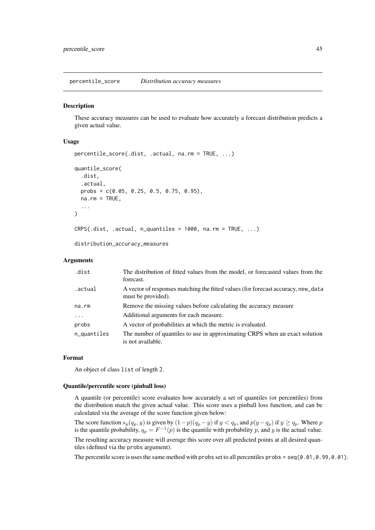<span id="page-44-0"></span>percentile\_score *Distribution accuracy measures*

## <span id="page-44-1"></span>Description

These accuracy measures can be used to evaluate how accurately a forecast distribution predicts a given actual value.

## Usage

```
percentile_score(.dist, .actual, na.rm = TRUE, ...)
quantile_score(
  .dist,
  .actual,
  probs = c(0.05, 0.25, 0.5, 0.75, 0.95),
  na.rm = TRUE,...
)
CRPS(.dist, .actual, n_quantiles = 1000, na.rm = TRUE, ...)
```
distribution\_accuracy\_measures

## Arguments

| .dist       | The distribution of fitted values from the model, or forecasted values from the<br>forecast.            |
|-------------|---------------------------------------------------------------------------------------------------------|
| .actual     | A vector of responses matching the fitted values (for forecast accuracy, new_data<br>must be provided). |
| na.rm       | Remove the missing values before calculating the accuracy measure                                       |
| $\ddots$ .  | Additional arguments for each measure.                                                                  |
| probs       | A vector of probabilities at which the metric is evaluated.                                             |
| n_quantiles | The number of quantiles to use in approximating CRPS when an exact solution<br>is not available.        |

#### Format

An object of class list of length 2.

## Quantile/percentile score (pinball loss)

A quantile (or percentile) score evaluates how accurately a set of quantiles (or percentiles) from the distribution match the given actual value. This score uses a pinball loss function, and can be calculated via the average of the score function given below:

The score function  $s_p(q_p, y)$  is given by  $(1-p)(q_p - y)$  if  $y < q_p$ , and  $p(y - q_p)$  if  $y \ge q_p$ . Where p is the quantile probability,  $q_p = F^{-1}(p)$  is the quantile with probability p, and y is the actual value. The resulting accuracy measure will average this score over all predicted points at all desired quantiles (defined via the probs argument).

The percentile score is uses the same method with probs set to all percentiles probs = seq(0.01,0.99,0.01).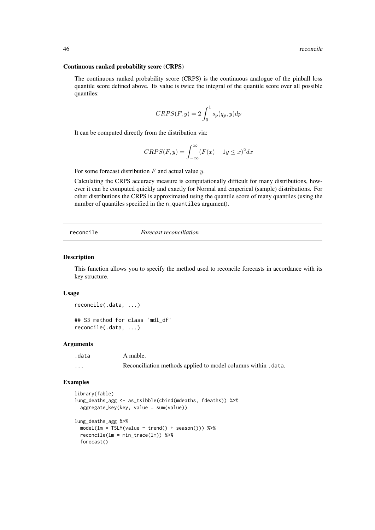#### Continuous ranked probability score (CRPS)

The continuous ranked probability score (CRPS) is the continuous analogue of the pinball loss quantile score defined above. Its value is twice the integral of the quantile score over all possible quantiles:

$$
CRPS(F, y) = 2 \int_0^1 s_p(q_p, y) dp
$$

It can be computed directly from the distribution via:

$$
CRPS(F, y) = \int_{-\infty}^{\infty} (F(x) - 1y \le x)^2 dx
$$

For some forecast distribution  $F$  and actual value  $y$ .

Calculating the CRPS accuracy measure is computationally difficult for many distributions, however it can be computed quickly and exactly for Normal and emperical (sample) distributions. For other distributions the CRPS is approximated using the quantile score of many quantiles (using the number of quantiles specified in the n\_quantiles argument).

<span id="page-45-1"></span>reconcile *Forecast reconciliation*

#### Description

This function allows you to specify the method used to reconcile forecasts in accordance with its key structure.

#### Usage

reconcile(.data, ...)

## S3 method for class 'mdl\_df' reconcile(.data, ...)

#### Arguments

| .data                   | A mable.                                                      |
|-------------------------|---------------------------------------------------------------|
| $\cdot$ $\cdot$ $\cdot$ | Reconciliation methods applied to model columns within .data. |

#### Examples

```
library(fable)
lung_deaths_agg <- as_tsibble(cbind(mdeaths, fdeaths)) %>%
  aggregate_key(key, value = sum(value))
lung_deaths_agg %>%
  model(lm = TSLM(value \sim trend() + season()) %>%
  reconcile(lm = min_trace(lm)) %>%
  forecast()
```
<span id="page-45-0"></span>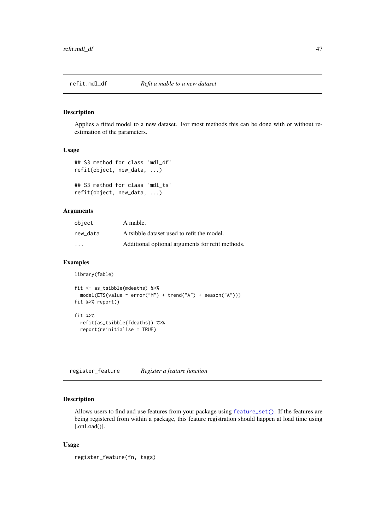<span id="page-46-0"></span>

Applies a fitted model to a new dataset. For most methods this can be done with or without reestimation of the parameters.

### Usage

```
## S3 method for class 'mdl_df'
refit(object, new_data, ...)
## S3 method for class 'mdl_ts'
refit(object, new_data, ...)
```
Arguments

| object   | A mable.                                         |
|----------|--------------------------------------------------|
| new data | A tsibble dataset used to refit the model.       |
| .        | Additional optional arguments for refit methods. |

#### Examples

```
library(fable)
```

```
fit \leq as tsibble(mdeaths) %>%
 model(ETS(value ~ error("M") + trend("A") + season("A")))
fit %>% report()
fit %>%
 refit(as_tsibble(fdeaths)) %>%
 report(reinitialise = TRUE)
```
<span id="page-46-1"></span>register\_feature *Register a feature function*

## Description

Allows users to find and use features from your package using [feature\\_set\(\)](#page-24-1). If the features are being registered from within a package, this feature registration should happen at load time using [.onLoad()].

## Usage

```
register_feature(fn, tags)
```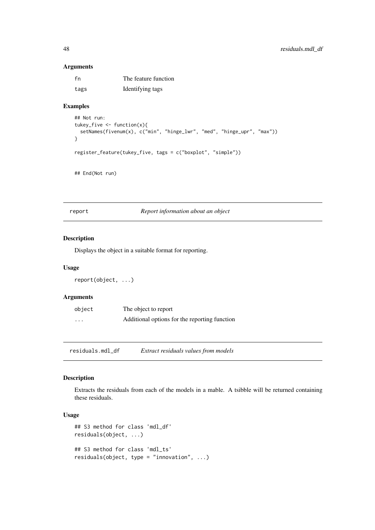## Arguments

| fn   | The feature function |
|------|----------------------|
| tags | Identifying tags     |

## Examples

```
## Not run:
tukey_five <- function(x){
  setNames(fivenum(x), c("min", "hinge_lwr", "med", "hinge_upr", "max"))
}
register_feature(tukey_five, tags = c("boxplot", "simple"))
## End(Not run)
```
<span id="page-47-1"></span>report *Report information about an object*

#### Description

Displays the object in a suitable format for reporting.

## Usage

report(object, ...)

## Arguments

| object   | The object to report                          |
|----------|-----------------------------------------------|
| $\cdots$ | Additional options for the reporting function |

residuals.mdl\_df *Extract residuals values from models*

## Description

Extracts the residuals from each of the models in a mable. A tsibble will be returned containing these residuals.

## Usage

```
## S3 method for class 'mdl_df'
residuals(object, ...)
## S3 method for class 'mdl_ts'
residuals(object, type = "innovation", ...)
```
<span id="page-47-0"></span>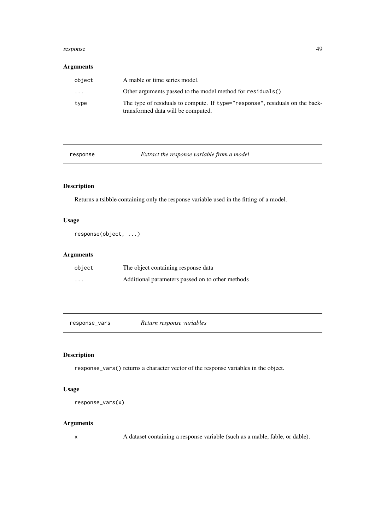#### <span id="page-48-0"></span>response 49

## Arguments

| object | A mable or time series model.                                                                                      |
|--------|--------------------------------------------------------------------------------------------------------------------|
| .      | Other arguments passed to the model method for residuals()                                                         |
| type   | The type of residuals to compute. If type="response", residuals on the back-<br>transformed data will be computed. |

response *Extract the response variable from a model*

## Description

Returns a tsibble containing only the response variable used in the fitting of a model.

## Usage

response(object, ...)

## Arguments

| object   | The object containing response data              |
|----------|--------------------------------------------------|
| $\cdots$ | Additional parameters passed on to other methods |

| response_vars | Return response variables |  |
|---------------|---------------------------|--|
|---------------|---------------------------|--|

## Description

response\_vars() returns a character vector of the response variables in the object.

## Usage

response\_vars(x)

## Arguments

x A dataset containing a response variable (such as a mable, fable, or dable).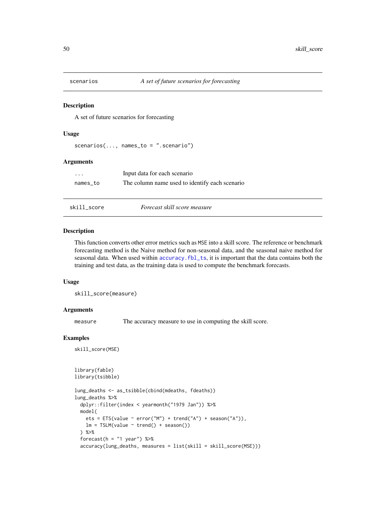<span id="page-49-0"></span>

A set of future scenarios for forecasting

## Usage

scenarios $(...,$  names\_to = ".scenario")

## Arguments

| $\cdots$ | Input data for each scenario                   |
|----------|------------------------------------------------|
| names to | The column name used to identify each scenario |

#### skill\_score *Forecast skill score measure*

#### Description

This function converts other error metrics such as MSE into a skill score. The reference or benchmark forecasting method is the Naive method for non-seasonal data, and the seasonal naive method for seasonal data. When used within accuracy. fbl\_ts, it is important that the data contains both the training and test data, as the training data is used to compute the benchmark forecasts.

#### Usage

```
skill_score(measure)
```
#### Arguments

measure The accuracy measure to use in computing the skill score.

## Examples

skill\_score(MSE)

```
library(fable)
library(tsibble)
```

```
lung_deaths <- as_tsibble(cbind(mdeaths, fdeaths))
lung_deaths %>%
  dplyr::filter(index < yearmonth("1979 Jan")) %>%
  model(
    ets = ETS(value \sim error("M") + trend("A") + season("A")),
   lm = TSLM(value ~ trend() + season())) %>%
  forecast(h = "1 year") %>%
  accuracy(lung_deaths, measures = list(skill = skill_score(MSE)))
```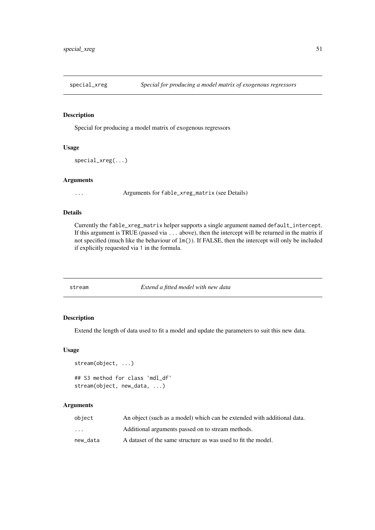<span id="page-50-0"></span>

Special for producing a model matrix of exogenous regressors

## Usage

```
special_xreg(...)
```
#### Arguments

... Arguments for fable\_xreg\_matrix (see Details)

## Details

Currently the fable\_xreg\_matrix helper supports a single argument named default\_intercept. If this argument is TRUE (passed via ... above), then the intercept will be returned in the matrix if not specified (much like the behaviour of lm()). If FALSE, then the intercept will only be included if explicitly requested via 1 in the formula.

stream *Extend a fitted model with new data*

## Description

Extend the length of data used to fit a model and update the parameters to suit this new data.

#### Usage

```
stream(object, ...)
## S3 method for class 'mdl_df'
stream(object, new_data, ...)
```

| object   | An object (such as a model) which can be extended with additional data. |
|----------|-------------------------------------------------------------------------|
| $\cdots$ | Additional arguments passed on to stream methods.                       |
| new data | A dataset of the same structure as was used to fit the model.           |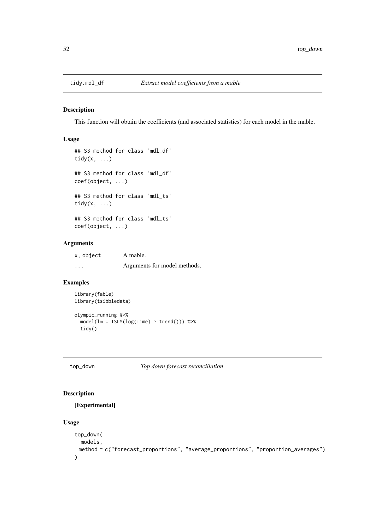<span id="page-51-0"></span>

This function will obtain the coefficients (and associated statistics) for each model in the mable.

#### Usage

```
## S3 method for class 'mdl_df'
tidy(x, \ldots)## S3 method for class 'mdl_df'
coef(object, ...)
## S3 method for class 'mdl_ts'
tidy(x, \ldots)## S3 method for class 'mdl_ts'
coef(object, ...)
```
## Arguments

| x, object | A mable.                     |
|-----------|------------------------------|
| $\cdot$   | Arguments for model methods. |

## Examples

```
library(fable)
library(tsibbledata)
olympic_running %>%
  model(lm = TSLM(log(Time) ~ trend())) %>%
  tidy()
```
top\_down *Top down forecast reconciliation*

## Description

[Experimental]

## Usage

```
top_down(
 models,
 method = c("forecast_proportions", "average_proportions", "proportion_averages")
)
```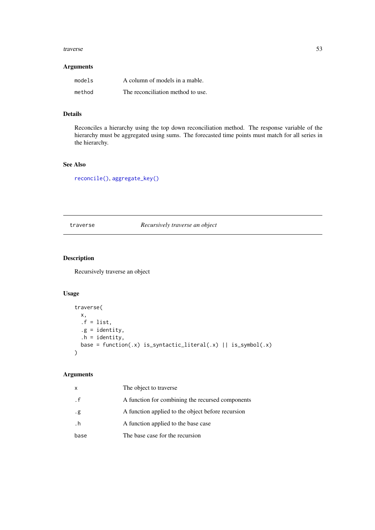#### <span id="page-52-0"></span>traverse 53

#### Arguments

| models | A column of models in a mable.    |
|--------|-----------------------------------|
| method | The reconciliation method to use. |

## Details

Reconciles a hierarchy using the top down reconciliation method. The response variable of the hierarchy must be aggregated using sums. The forecasted time points must match for all series in the hierarchy.

## See Also

[reconcile\(\)](#page-45-1), [aggregate\\_key\(\)](#page-6-1)

traverse *Recursively traverse an object*

## Description

Recursively traverse an object

## Usage

```
traverse(
 x,
 .f = list,.g = identity,
 h = identity,base = function(.x) is_syntactic_literal(.x) || is_symbol(.x)
)
```

| x         | The object to traverse                            |
|-----------|---------------------------------------------------|
| . f       | A function for combining the recursed components  |
| .g        | A function applied to the object before recursion |
| $\cdot$ h | A function applied to the base case               |
| base      | The base case for the recursion                   |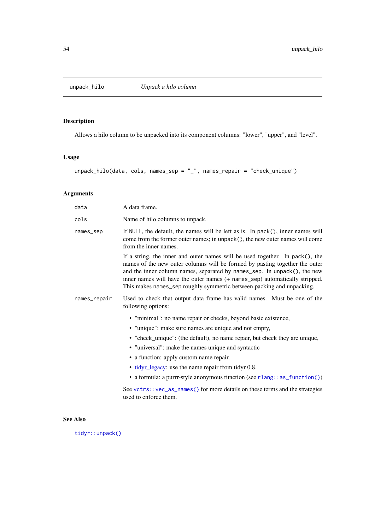<span id="page-53-1"></span><span id="page-53-0"></span>

Allows a hilo column to be unpacked into its component columns: "lower", "upper", and "level".

## Usage

unpack\_hilo(data, cols, names\_sep = "\_", names\_repair = "check\_unique")

## Arguments

| data         | A data frame.                                                                                                                                                                                                                                                                                                                                                                                      |
|--------------|----------------------------------------------------------------------------------------------------------------------------------------------------------------------------------------------------------------------------------------------------------------------------------------------------------------------------------------------------------------------------------------------------|
| cols         | Name of hilo columns to unpack.                                                                                                                                                                                                                                                                                                                                                                    |
| names_sep    | If NULL, the default, the names will be left as is. In pack(), inner names will<br>come from the former outer names; in unpack(), the new outer names will come<br>from the inner names.                                                                                                                                                                                                           |
|              | If a string, the inner and outer names will be used together. In $pack()$ , the<br>names of the new outer columns will be formed by pasting together the outer<br>and the inner column names, separated by names_sep. In unpack(), the new<br>inner names will have the outer names (+ names_sep) automatically stripped.<br>This makes names_sep roughly symmetric between packing and unpacking. |
| names_repair | Used to check that output data frame has valid names. Must be one of the<br>following options:                                                                                                                                                                                                                                                                                                     |
|              | • "minimal": no name repair or checks, beyond basic existence,                                                                                                                                                                                                                                                                                                                                     |
|              | • "unique": make sure names are unique and not empty,                                                                                                                                                                                                                                                                                                                                              |
|              | • "check_unique": (the default), no name repair, but check they are unique,                                                                                                                                                                                                                                                                                                                        |
|              | • "universal": make the names unique and syntactic                                                                                                                                                                                                                                                                                                                                                 |
|              | • a function: apply custom name repair.                                                                                                                                                                                                                                                                                                                                                            |
|              | • tidyr_legacy: use the name repair from tidyr 0.8.                                                                                                                                                                                                                                                                                                                                                |
|              | • a formula: a purrr-style anonymous function (see rlang:: as_function())                                                                                                                                                                                                                                                                                                                          |
|              | See vctrs:: vec_as_names() for more details on these terms and the strategies<br>used to enforce them.                                                                                                                                                                                                                                                                                             |

## See Also

[tidyr::unpack\(\)](#page-0-0)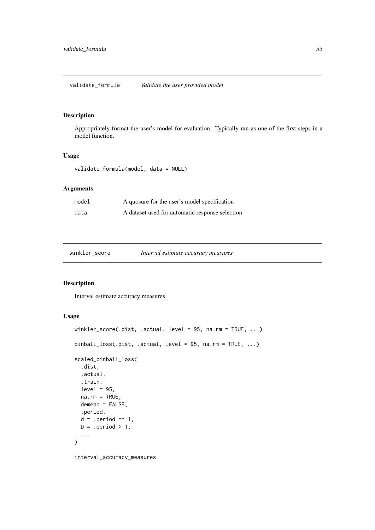<span id="page-54-0"></span>validate\_formula *Validate the user provided model*

## Description

Appropriately format the user's model for evaluation. Typically ran as one of the first steps in a model function.

## Usage

validate\_formula(model, data = NULL)

## Arguments

| model | A quosure for the user's model specification    |
|-------|-------------------------------------------------|
| data  | A dataset used for automatic response selection |

| winkler_score | Interval estimate accuracy measures |
|---------------|-------------------------------------|
|---------------|-------------------------------------|

## <span id="page-54-1"></span>Description

Interval estimate accuracy measures

## Usage

```
winkler_score(.dist, .actual, level = 95, na.rm = TRUE, ...)
pinball_loss(.dist, .actual, level = 95, na.rm = TRUE, ...)
scaled_pinball_loss(
  .dist,
  .actual,
  .train,
  level = 95,
  na.rm = TRUE,demean = FALSE,
  .period,
  d = .period == 1,D = .period > 1,
  ...
)
```
interval\_accuracy\_measures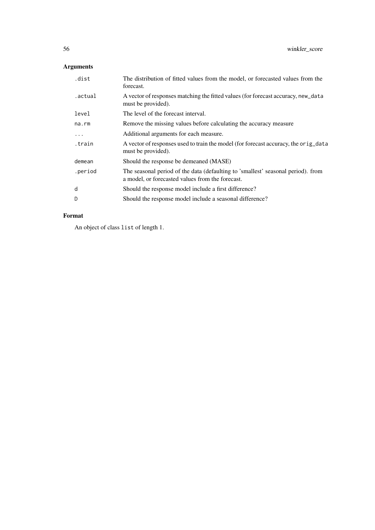## Arguments

| .dist    | The distribution of fitted values from the model, or forecasted values from the<br>forecast.                                         |
|----------|--------------------------------------------------------------------------------------------------------------------------------------|
| .actual  | A vector of responses matching the fitted values (for forecast accuracy, new_data<br>must be provided).                              |
| level    | The level of the forecast interval.                                                                                                  |
| na.rm    | Remove the missing values before calculating the accuracy measure                                                                    |
| $\ddots$ | Additional arguments for each measure.                                                                                               |
| train.   | A vector of responses used to train the model (for forecast accuracy, the orig_data<br>must be provided).                            |
| demean   | Should the response be demeaned (MASE)                                                                                               |
| .period  | The seasonal period of the data (defaulting to 'smallest' seasonal period). from<br>a model, or forecasted values from the forecast. |
| d        | Should the response model include a first difference?                                                                                |
| D        | Should the response model include a seasonal difference?                                                                             |

## Format

An object of class list of length 1.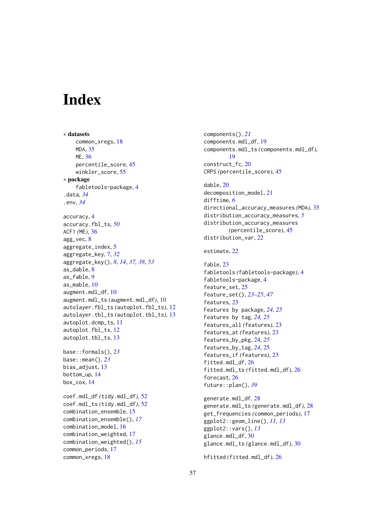# <span id="page-56-0"></span>Index

∗ datasets common\_xregs, [18](#page-17-0) MDA, [35](#page-34-0) ME, [36](#page-35-0) percentile\_score, [45](#page-44-0) winkler\_score, [55](#page-54-0) ∗ package fabletools-package, [4](#page-3-0) .data, *[34](#page-33-0)* .env, *[34](#page-33-0)* accuracy, [4](#page-3-0) accuracy.fbl\_ts, *[50](#page-49-0)* ACF1 *(*ME*)*, [36](#page-35-0) agg\_vec, [8](#page-7-0) aggregate\_index, [5](#page-4-0) aggregate\_key, [7,](#page-6-0) *[32](#page-31-0)* aggregate\_key(), *[8](#page-7-0)*, *[14](#page-13-0)*, *[37,](#page-36-0) [38](#page-37-0)*, *[53](#page-52-0)* as\_dable, [8](#page-7-0) as\_fable, [9](#page-8-0) as mable, [10](#page-9-0) augment.mdl\_df, [10](#page-9-0) augment.mdl\_ts *(*augment.mdl\_df*)*, [10](#page-9-0) autolayer.fbl\_ts *(*autoplot.fbl\_ts*)*, [12](#page-11-0) autolayer.tbl\_ts *(*autoplot.tbl\_ts*)*, [13](#page-12-0) autoplot.dcmp\_ts, [11](#page-10-0) autoplot.fbl\_ts, [12](#page-11-0) autoplot.tbl\_ts, [13](#page-12-0) base::formals(), *[23](#page-22-0)* base::mean(), *[23](#page-22-0)* bias\_adjust, [13](#page-12-0) bottom\_up, [14](#page-13-0) box\_cox, [14](#page-13-0) coef.mdl\_df *(*tidy.mdl\_df*)*, [52](#page-51-0) coef.mdl\_ts *(*tidy.mdl\_df*)*, [52](#page-51-0) combination\_ensemble, [15](#page-14-0) combination\_ensemble(), *[17](#page-16-0)* combination\_model, [16](#page-15-0) combination\_weighted, [17](#page-16-0) combination\_weighted(), *[15](#page-14-0)* common\_periods, [17](#page-16-0) common\_xregs, [18](#page-17-0)

components(), *[21](#page-20-0)* components.mdl\_df, [19](#page-18-0) components.mdl\_ts *(*components.mdl\_df*)*, [19](#page-18-0) construct\_fc, [20](#page-19-0) CRPS *(*percentile\_score*)*, [45](#page-44-0) dable, [20](#page-19-0) decomposition\_model, [21](#page-20-0) difftime, *[6](#page-5-0)* directional\_accuracy\_measures *(*MDA*)*, [35](#page-34-0) distribution\_accuracy\_measures, *[5](#page-4-0)* distribution\_accuracy\_measures *(*percentile\_score*)*, [45](#page-44-0) distribution\_var, [22](#page-21-0) estimate, [22](#page-21-0) fable, [23](#page-22-0) fabletools *(*fabletools-package*)*, [4](#page-3-0) fabletools-package, [4](#page-3-0) feature\_set, [25](#page-24-0) feature\_set(), *[23](#page-22-0)[–25](#page-24-0)*, *[47](#page-46-0)* features, [23](#page-22-0) Features by package, *[24,](#page-23-0) [25](#page-24-0)* Features by tag, *[24,](#page-23-0) [25](#page-24-0)* features\_all *(*features*)*, [23](#page-22-0) features\_at *(*features*)*, [23](#page-22-0) features\_by\_pkg, [24,](#page-23-0) *[25](#page-24-0)* features\_by\_tag, *[24](#page-23-0)*, [25](#page-24-0) features\_if *(*features*)*, [23](#page-22-0) fitted.mdl\_df, [26](#page-25-0) fitted.mdl\_ts *(*fitted.mdl\_df*)*, [26](#page-25-0) forecast, [26](#page-25-0) future::plan(), *[39](#page-38-0)* generate.mdl\_df, [28](#page-27-0) generate.mdl\_ts *(*generate.mdl\_df*)*, [28](#page-27-0) get\_frequencies *(*common\_periods*)*, [17](#page-16-0) ggplot2::geom\_line(), *[11](#page-10-0)*, *[13](#page-12-0)* ggplot2::vars(), *[13](#page-12-0)* glance.mdl\_df, [30](#page-29-0) glance.mdl\_ts *(*glance.mdl\_df*)*, [30](#page-29-0)

hfitted *(*fitted.mdl\_df*)*, [26](#page-25-0)